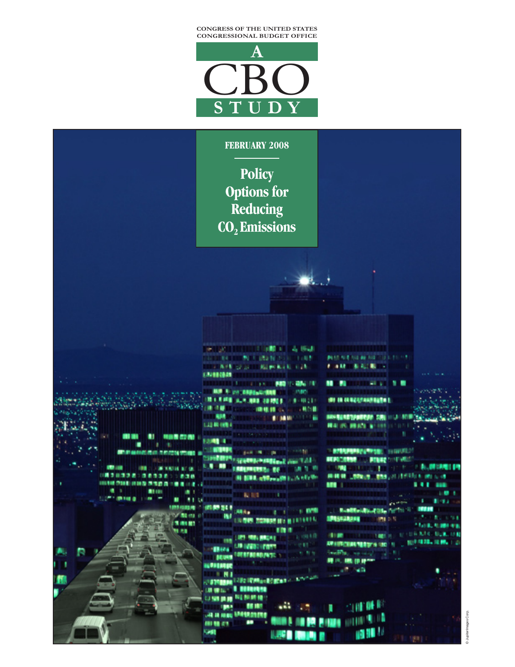



**FEBRUARY 2008**

**Policy Options for Reducing CO2 Emissions**

**SECOND FOR DISPLACE CALIFOLIA** THE R. P. LEWIS CO., LANSING MICH. **CAR Star Bank Cold** 1.74880849 **PED** 

100910-0 **IS 484 18 MP 4 pages STORY IN CARD ALT AND LEASED** (1999) 217 7.8.18  $-0.010$ **IDE IS ... RAN 1111 81,9899** 1.1240.000.0 1248 1

anan a

**MORDER** 

*CONTRACTOR* 

.

**BELF MANCHER TO A RUSSIA** 15

..................

**BEGIN** 

.

٠

 $\mathbf{m}$ 

...................

49.18

41.31

п

mus a

Web

٠

..

**Nome** of

*INTERNATION* 

3,8187

**HONE HELEN** \$1,000.000 **D** List and trade compensation of the contract. 1.8.10 **CARDIOGRAPHIC RESOURCES HIGHLAND COLLANS** 

6, 111 M 他勝託も **Hills**  $+ 0.00$  $1 - 1$ m **LIVING TONGO HEEN LETTER TTM** 

**COLLET MOLEKUAL Birg OF WEIGHT** 近期間 **BEUM <sup>TOTAT BERDAVITY**</sup> *<u>KOHAR</u>* 

**COMBARD FOR STANDARD AND ARTISTS**<br>COMBARD **FOR STANDARD COMPANY RESUME** 

IU.E

**TIME** 16.187 At at least Andreaming  $\bullet$ 49.68.03 ∿a

**ALC: NO** . **IN IN CLASS CARD RATIO L MARGARYPHONE SHI - J 100 BACK MODELS** IN

**PERMIT NEW REPORT OF A TANK OF** 

机油精机 机花状轴承

**BOOKPOPE/LEWSEL HIGHLY PENNE** SHARAKE **ACAD TERMS IN A RAILWAY** 

**HIMM LONG THE JUNEAU MELL ReadSolds Lights MARKSHI** 178 115, 834, 852, 853 **COLLECTION** 41.00 1071124-1095 ARAINCERANGERY (INC.)

**Section** 理论模块 **NO** 

小雨餅煎

لا الي

**AND THE** 

**A HEAD** 

ш

© JupiterImages Corp.

. . . . . .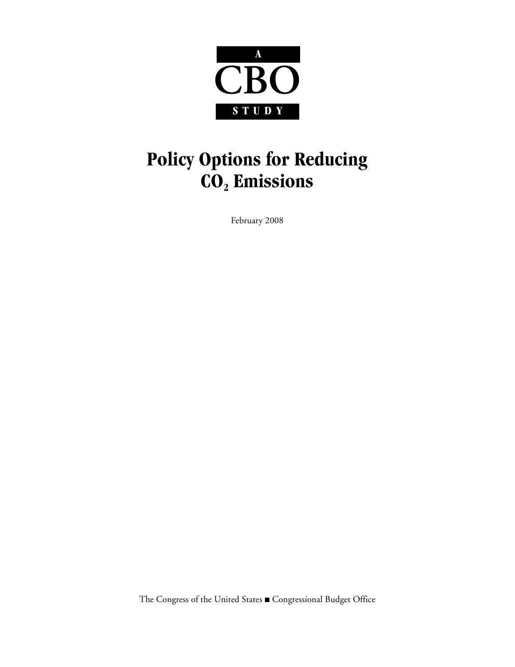

# **Policy Options for Reducing CO2 Emissions**

February 2008

The Congress of the United States Congressional Budget Office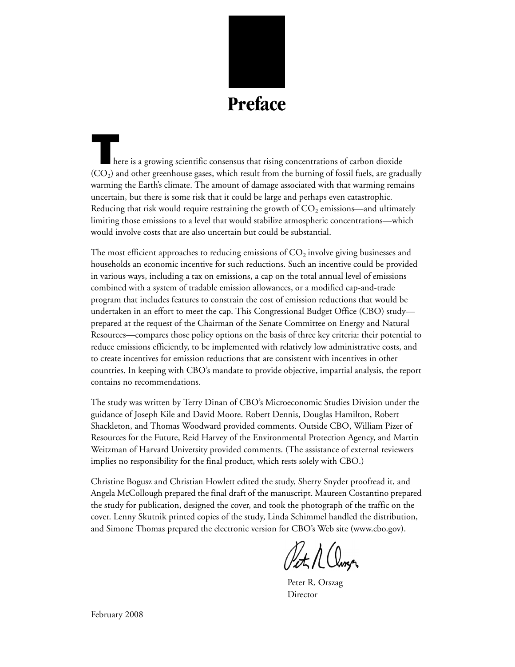

**T**here is a growing scientific consensus that rising concentrations of carbon dioxide  $(CO<sub>2</sub>)$  and other greenhouse gases, which result from the burning of fossil fuels, are gradually warming the Earth's climate. The amount of damage associated with that warming remains uncertain, but there is some risk that it could be large and perhaps even catastrophic. Reducing that risk would require restraining the growth of  $CO<sub>2</sub>$  emissions—and ultimately limiting those emissions to a level that would stabilize atmospheric concentrations—which would involve costs that are also uncertain but could be substantial.

The most efficient approaches to reducing emissions of  $CO<sub>2</sub>$  involve giving businesses and households an economic incentive for such reductions. Such an incentive could be provided in various ways, including a tax on emissions, a cap on the total annual level of emissions combined with a system of tradable emission allowances, or a modified cap-and-trade program that includes features to constrain the cost of emission reductions that would be undertaken in an effort to meet the cap. This Congressional Budget Office (CBO) study prepared at the request of the Chairman of the Senate Committee on Energy and Natural Resources—compares those policy options on the basis of three key criteria: their potential to reduce emissions efficiently, to be implemented with relatively low administrative costs, and to create incentives for emission reductions that are consistent with incentives in other countries. In keeping with CBO's mandate to provide objective, impartial analysis, the report contains no recommendations.

The study was written by Terry Dinan of CBO's Microeconomic Studies Division under the guidance of Joseph Kile and David Moore. Robert Dennis, Douglas Hamilton, Robert Shackleton, and Thomas Woodward provided comments. Outside CBO, William Pizer of Resources for the Future, Reid Harvey of the Environmental Protection Agency, and Martin Weitzman of Harvard University provided comments. (The assistance of external reviewers implies no responsibility for the final product, which rests solely with CBO.)

Christine Bogusz and Christian Howlett edited the study, Sherry Snyder proofread it, and Angela McCollough prepared the final draft of the manuscript. Maureen Costantino prepared the study for publication, designed the cover, and took the photograph of the traffic on the cover. Lenny Skutnik printed copies of the study, Linda Schimmel handled the distribution, and Simone Thomas prepared the electronic version for CBO's Web site (www.cbo.gov).

Poth A Clung

Peter R. Orszag Director

February 2008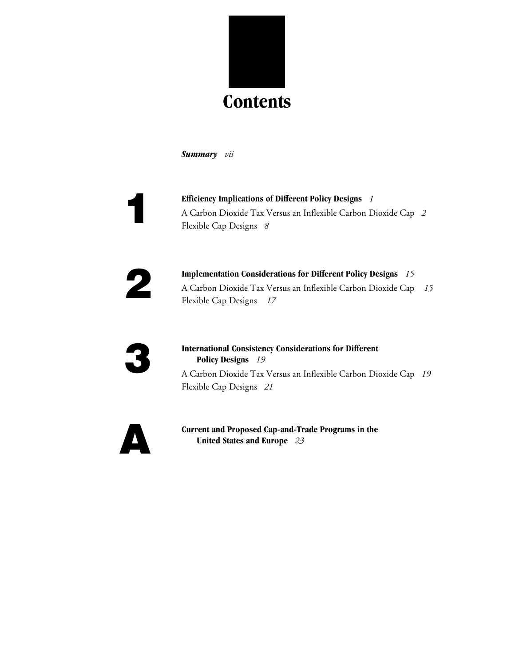

*[Summary](#page-8-0)**vii*

**[1](#page-16-0) [Efficiency Implications of Different Policy Designs](#page-16-1)** *<sup>1</sup>* [A Carbon Dioxide Tax Versus an Inflexible Carbon Dioxide Cap](#page-17-0) *2* [Flexible Cap Designs](#page-23-0) *8*

**[2](#page-30-0) Implementation Considerations for Different Policy Designs** *15*<br>A Carbon Dioxide Tax Versus an Inflexible Carbon Dioxide Cap<br>Flexible Cap Designs *17* [A Carbon Dioxide Tax Versus an Inflexible Carbon Dioxide Cap](#page-30-2) *15* [Flexible Cap Designs](#page-32-0) *17*



## **1[3](#page-34-0)** [International Consistency Considerations for Different](#page-34-1) <br>
Policy Designs *19*<br> [A Carbon Dioxide Tax Versus an Inflexible Carbon Dioxide Cap](#page-34-2) *19* **[Policy Designs](#page-34-1)** *19*

[Flexible Cap Designs](#page-36-0) *21*



**[A](#page-38-0) [Current and Proposed Cap-and-Trade Programs in the](#page-38-1)  [United States and Europe](#page-38-1)** *23*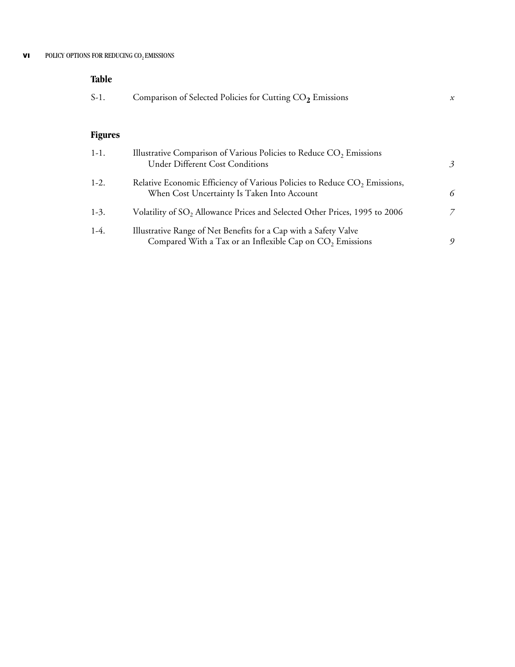#### **Table**

| $S-1$ .        | Comparison of Selected Policies for Cutting $CO2$ Emissions                     |  |  |
|----------------|---------------------------------------------------------------------------------|--|--|
|                |                                                                                 |  |  |
| <b>Figures</b> |                                                                                 |  |  |
| $1-1.$         | Illustrative Comparison of Various Policies to Reduce CO <sub>2</sub> Emissions |  |  |

|        | <b>Under Different Cost Conditions</b>                                                                                               | $\mathcal{Z}$ |
|--------|--------------------------------------------------------------------------------------------------------------------------------------|---------------|
| $1-2.$ | Relative Economic Efficiency of Various Policies to Reduce CO <sub>2</sub> Emissions,<br>When Cost Uncertainty Is Taken Into Account | 6             |
| $1-3.$ | Volatility of SO <sub>2</sub> Allowance Prices and Selected Other Prices, 1995 to 2006                                               |               |
| $1-4.$ | Illustrative Range of Net Benefits for a Cap with a Safety Valve<br>Compared With a Tax or an Inflexible Cap on $CO2$ Emissions      | 9             |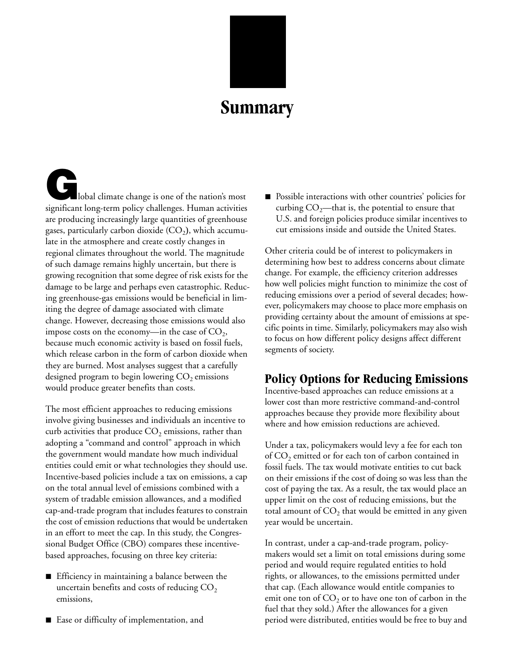

## **Summary**

<span id="page-8-0"></span>lobal climate change is one of the nation's most significant long-term policy challenges. Human activities are producing increasingly large quantities of greenhouse gases, particularly carbon dioxide  $(CO<sub>2</sub>)$ , which accumulate in the atmosphere and create costly changes in regional climates throughout the world. The magnitude of such damage remains highly uncertain, but there is growing recognition that some degree of risk exists for the damage to be large and perhaps even catastrophic. Reducing greenhouse-gas emissions would be beneficial in limiting the degree of damage associated with climate change. However, decreasing those emissions would also impose costs on the economy—in the case of  $CO<sub>2</sub>$ , because much economic activity is based on fossil fuels, which release carbon in the form of carbon dioxide when they are burned. Most analyses suggest that a carefully designed program to begin lowering  $CO<sub>2</sub>$  emissions would produce greater benefits than costs.

The most efficient approaches to reducing emissions involve giving businesses and individuals an incentive to curb activities that produce  $CO<sub>2</sub>$  emissions, rather than adopting a "command and control" approach in which the government would mandate how much individual entities could emit or what technologies they should use. Incentive-based policies include a tax on emissions, a cap on the total annual level of emissions combined with a system of tradable emission allowances, and a modified cap-and-trade program that includes features to constrain the cost of emission reductions that would be undertaken in an effort to meet the cap. In this study, the Congressional Budget Office (CBO) compares these incentivebased approaches, focusing on three key criteria:

- **B** Efficiency in maintaining a balance between the uncertain benefits and costs of reducing  $CO<sub>2</sub>$ emissions,
- **Ease or difficulty of implementation, and**

**B** Possible interactions with other countries' policies for curbing  $CO_2$ —that is, the potential to ensure that U.S. and foreign policies produce similar incentives to cut emissions inside and outside the United States.

Other criteria could be of interest to policymakers in determining how best to address concerns about climate change. For example, the efficiency criterion addresses how well policies might function to minimize the cost of reducing emissions over a period of several decades; however, policymakers may choose to place more emphasis on providing certainty about the amount of emissions at specific points in time. Similarly, policymakers may also wish to focus on how different policy designs affect different segments of society.

### **Policy Options for Reducing Emissions**

Incentive-based approaches can reduce emissions at a lower cost than more restrictive command-and-control approaches because they provide more flexibility about where and how emission reductions are achieved.

Under a tax, policymakers would levy a fee for each ton of  $CO<sub>2</sub>$  emitted or for each ton of carbon contained in fossil fuels. The tax would motivate entities to cut back on their emissions if the cost of doing so was less than the cost of paying the tax. As a result, the tax would place an upper limit on the cost of reducing emissions, but the total amount of  $CO<sub>2</sub>$  that would be emitted in any given year would be uncertain.

In contrast, under a cap-and-trade program, policymakers would set a limit on total emissions during some period and would require regulated entities to hold rights, or allowances, to the emissions permitted under that cap. (Each allowance would entitle companies to emit one ton of  $CO<sub>2</sub>$  or to have one ton of carbon in the fuel that they sold.) After the allowances for a given period were distributed, entities would be free to buy and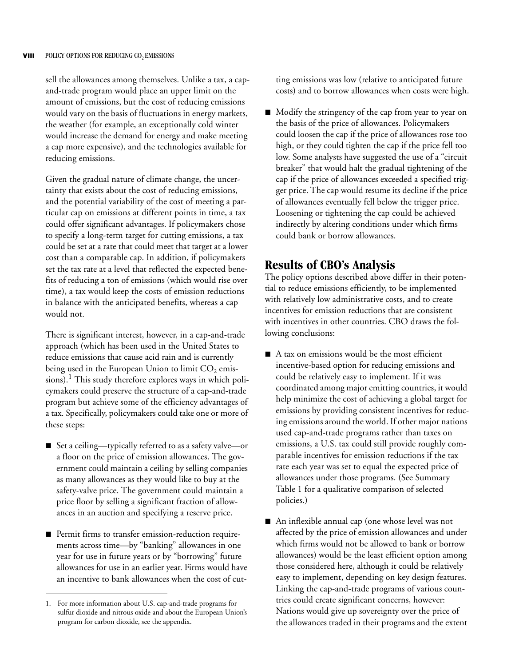sell the allowances among themselves. Unlike a tax, a capand-trade program would place an upper limit on the amount of emissions, but the cost of reducing emissions would vary on the basis of fluctuations in energy markets, the weather (for example, an exceptionally cold winter would increase the demand for energy and make meeting a cap more expensive), and the technologies available for reducing emissions.

Given the gradual nature of climate change, the uncertainty that exists about the cost of reducing emissions, and the potential variability of the cost of meeting a particular cap on emissions at different points in time, a tax could offer significant advantages. If policymakers chose to specify a long-term target for cutting emissions, a tax could be set at a rate that could meet that target at a lower cost than a comparable cap. In addition, if policymakers set the tax rate at a level that reflected the expected benefits of reducing a ton of emissions (which would rise over time), a tax would keep the costs of emission reductions in balance with the anticipated benefits, whereas a cap would not.

There is significant interest, however, in a cap-and-trade approach (which has been used in the United States to reduce emissions that cause acid rain and is currently being used in the European Union to limit  $CO<sub>2</sub>$  emissions).<sup>1</sup> This study therefore explores ways in which policymakers could preserve the structure of a cap-and-trade program but achieve some of the efficiency advantages of a tax. Specifically, policymakers could take one or more of these steps:

- $\blacksquare$  Set a ceiling—typically referred to as a safety valve—or a floor on the price of emission allowances. The government could maintain a ceiling by selling companies as many allowances as they would like to buy at the safety-valve price. The government could maintain a price floor by selling a significant fraction of allowances in an auction and specifying a reserve price.
- **Permit firms to transfer emission-reduction require**ments across time—by "banking" allowances in one year for use in future years or by "borrowing" future allowances for use in an earlier year. Firms would have an incentive to bank allowances when the cost of cut-

ting emissions was low (relative to anticipated future costs) and to borrow allowances when costs were high.

 $\blacksquare$  Modify the stringency of the cap from year to year on the basis of the price of allowances. Policymakers could loosen the cap if the price of allowances rose too high, or they could tighten the cap if the price fell too low. Some analysts have suggested the use of a "circuit breaker" that would halt the gradual tightening of the cap if the price of allowances exceeded a specified trigger price. The cap would resume its decline if the price of allowances eventually fell below the trigger price. Loosening or tightening the cap could be achieved indirectly by altering conditions under which firms could bank or borrow allowances.

#### **Results of CBO's Analysis**

The policy options described above differ in their potential to reduce emissions efficiently, to be implemented with relatively low administrative costs, and to create incentives for emission reductions that are consistent with incentives in other countries. CBO draws the following conclusions:

- $A$  tax on emissions would be the most efficient incentive-based option for reducing emissions and could be relatively easy to implement. If it was coordinated among major emitting countries, it would help minimize the cost of achieving a global target for emissions by providing consistent incentives for reducing emissions around the world. If other major nations used cap-and-trade programs rather than taxes on emissions, a U.S. tax could still provide roughly comparable incentives for emission reductions if the tax rate each year was set to equal the expected price of allowances under those programs. (See [Summary](#page-11-0)  [Table 1](#page-11-0) for a qualitative comparison of selected policies.)
- $\blacksquare$  An inflexible annual cap (one whose level was not affected by the price of emission allowances and under which firms would not be allowed to bank or borrow allowances) would be the least efficient option among those considered here, although it could be relatively easy to implement, depending on key design features. Linking the cap-and-trade programs of various countries could create significant concerns, however: Nations would give up sovereignty over the price of the allowances traded in their programs and the extent

<sup>1.</sup> For more information about U.S. cap-and-trade programs for sulfur dioxide and nitrous oxide and about the European Union's program for carbon dioxide, see the appendix.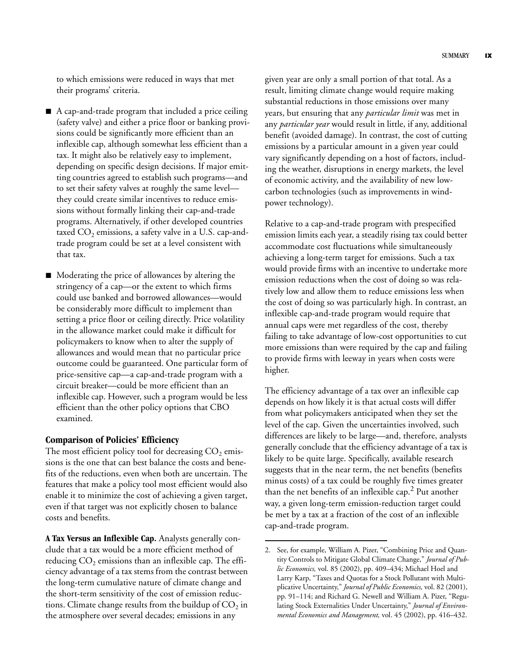to which emissions were reduced in ways that met their programs' criteria.

- $\blacksquare$  A cap-and-trade program that included a price ceiling (safety valve) and either a price floor or banking provisions could be significantly more efficient than an inflexible cap, although somewhat less efficient than a tax. It might also be relatively easy to implement, depending on specific design decisions. If major emitting countries agreed to establish such programs—and to set their safety valves at roughly the same level they could create similar incentives to reduce emissions without formally linking their cap-and-trade programs. Alternatively, if other developed countries taxed  $CO<sub>2</sub>$  emissions, a safety valve in a U.S. cap-andtrade program could be set at a level consistent with that tax.
- $\blacksquare$  Moderating the price of allowances by altering the stringency of a cap—or the extent to which firms could use banked and borrowed allowances—would be considerably more difficult to implement than setting a price floor or ceiling directly. Price volatility in the allowance market could make it difficult for policymakers to know when to alter the supply of allowances and would mean that no particular price outcome could be guaranteed. One particular form of price-sensitive cap—a cap-and-trade program with a circuit breaker—could be more efficient than an inflexible cap. However, such a program would be less efficient than the other policy options that CBO examined.

#### **Comparison of Policies' Efficiency**

The most efficient policy tool for decreasing  $CO<sub>2</sub>$  emissions is the one that can best balance the costs and benefits of the reductions, even when both are uncertain. The features that make a policy tool most efficient would also enable it to minimize the cost of achieving a given target, even if that target was not explicitly chosen to balance costs and benefits.

**A Tax Versus an Inflexible Cap.** Analysts generally conclude that a tax would be a more efficient method of reducing  $CO<sub>2</sub>$  emissions than an inflexible cap. The efficiency advantage of a tax stems from the contrast between the long-term cumulative nature of climate change and the short-term sensitivity of the cost of emission reductions. Climate change results from the buildup of  $CO<sub>2</sub>$  in the atmosphere over several decades; emissions in any

given year are only a small portion of that total. As a result, limiting climate change would require making substantial reductions in those emissions over many years, but ensuring that any *particular limit* was met in any *particular year* would result in little, if any, additional benefit (avoided damage). In contrast, the cost of cutting emissions by a particular amount in a given year could vary significantly depending on a host of factors, including the weather, disruptions in energy markets, the level of economic activity, and the availability of new lowcarbon technologies (such as improvements in windpower technology).

Relative to a cap-and-trade program with prespecified emission limits each year, a steadily rising tax could better accommodate cost fluctuations while simultaneously achieving a long-term target for emissions. Such a tax would provide firms with an incentive to undertake more emission reductions when the cost of doing so was relatively low and allow them to reduce emissions less when the cost of doing so was particularly high. In contrast, an inflexible cap-and-trade program would require that annual caps were met regardless of the cost, thereby failing to take advantage of low-cost opportunities to cut more emissions than were required by the cap and failing to provide firms with leeway in years when costs were higher.

The efficiency advantage of a tax over an inflexible cap depends on how likely it is that actual costs will differ from what policymakers anticipated when they set the level of the cap. Given the uncertainties involved, such differences are likely to be large—and, therefore, analysts generally conclude that the efficiency advantage of a tax is likely to be quite large. Specifically, available research suggests that in the near term, the net benefits (benefits minus costs) of a tax could be roughly five times greater than the net benefits of an inflexible cap.<sup>2</sup> Put another way, a given long-term emission-reduction target could be met by a tax at a fraction of the cost of an inflexible cap-and-trade program.

<sup>2.</sup> See, for example, William A. Pizer, "Combining Price and Quantity Controls to Mitigate Global Climate Change," *Journal of Public Economics,* vol. 85 (2002), pp. 409–434; Michael Hoel and Larry Karp, "Taxes and Quotas for a Stock Pollutant with Multiplicative Uncertainty," *Journal of Public Economics,* vol. 82 (2001), pp. 91–114; and Richard G. Newell and William A. Pizer, "Regulating Stock Externalities Under Uncertainty," *Journal of Environmental Economics and Management,* vol. 45 (2002), pp. 416–432.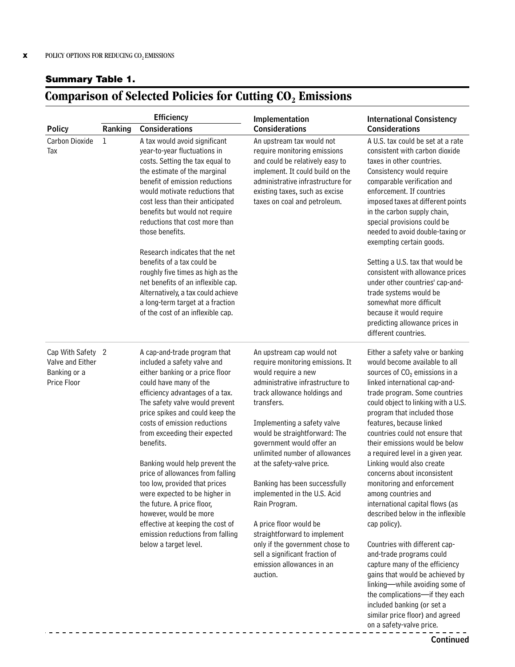#### <span id="page-11-0"></span>**Summary Table 1.**

## <span id="page-11-1"></span>**Comparison of Selected Policies for Cutting CO<sub>2</sub> Emissions**

 $\sim$   $-$ 

|                                                                      |         | <b>Efficiency</b>                                                                                                                                                                                                                                                                                                                                                                                                                                                                                                                                                                                               | Implementation                                                                                                                                                                                                                                                                                                                                                                                                                                                                                                                                                                                | <b>International Consistency</b>                                                                                                                                                                                                                                                                                                                                                                                                                                                                                                                                                                                                                                                                                                                                                                                                |
|----------------------------------------------------------------------|---------|-----------------------------------------------------------------------------------------------------------------------------------------------------------------------------------------------------------------------------------------------------------------------------------------------------------------------------------------------------------------------------------------------------------------------------------------------------------------------------------------------------------------------------------------------------------------------------------------------------------------|-----------------------------------------------------------------------------------------------------------------------------------------------------------------------------------------------------------------------------------------------------------------------------------------------------------------------------------------------------------------------------------------------------------------------------------------------------------------------------------------------------------------------------------------------------------------------------------------------|---------------------------------------------------------------------------------------------------------------------------------------------------------------------------------------------------------------------------------------------------------------------------------------------------------------------------------------------------------------------------------------------------------------------------------------------------------------------------------------------------------------------------------------------------------------------------------------------------------------------------------------------------------------------------------------------------------------------------------------------------------------------------------------------------------------------------------|
| <b>Policy</b>                                                        | Ranking | <b>Considerations</b>                                                                                                                                                                                                                                                                                                                                                                                                                                                                                                                                                                                           | <b>Considerations</b>                                                                                                                                                                                                                                                                                                                                                                                                                                                                                                                                                                         | <b>Considerations</b>                                                                                                                                                                                                                                                                                                                                                                                                                                                                                                                                                                                                                                                                                                                                                                                                           |
| Carbon Dioxide<br>Тах                                                | 1       | A tax would avoid significant<br>year-to-year fluctuations in<br>costs. Setting the tax equal to<br>the estimate of the marginal<br>benefit of emission reductions<br>would motivate reductions that<br>cost less than their anticipated<br>benefits but would not require<br>reductions that cost more than<br>those benefits.                                                                                                                                                                                                                                                                                 | An upstream tax would not<br>require monitoring emissions<br>and could be relatively easy to<br>implement. It could build on the<br>administrative infrastructure for<br>existing taxes, such as excise<br>taxes on coal and petroleum.                                                                                                                                                                                                                                                                                                                                                       | A U.S. tax could be set at a rate<br>consistent with carbon dioxide<br>taxes in other countries.<br>Consistency would require<br>comparable verification and<br>enforcement. If countries<br>imposed taxes at different points<br>in the carbon supply chain,<br>special provisions could be<br>needed to avoid double-taxing or<br>exempting certain goods.                                                                                                                                                                                                                                                                                                                                                                                                                                                                    |
|                                                                      |         | Research indicates that the net<br>benefits of a tax could be<br>roughly five times as high as the<br>net benefits of an inflexible cap.<br>Alternatively, a tax could achieve<br>a long-term target at a fraction<br>of the cost of an inflexible cap.                                                                                                                                                                                                                                                                                                                                                         |                                                                                                                                                                                                                                                                                                                                                                                                                                                                                                                                                                                               | Setting a U.S. tax that would be<br>consistent with allowance prices<br>under other countries' cap-and-<br>trade systems would be<br>somewhat more difficult<br>because it would require<br>predicting allowance prices in<br>different countries.                                                                                                                                                                                                                                                                                                                                                                                                                                                                                                                                                                              |
| Cap With Safety 2<br>Valve and Either<br>Banking or a<br>Price Floor |         | A cap-and-trade program that<br>included a safety valve and<br>either banking or a price floor<br>could have many of the<br>efficiency advantages of a tax.<br>The safety valve would prevent<br>price spikes and could keep the<br>costs of emission reductions<br>from exceeding their expected<br>benefits.<br>Banking would help prevent the<br>price of allowances from falling<br>too low, provided that prices<br>were expected to be higher in<br>the future. A price floor,<br>however, would be more<br>effective at keeping the cost of<br>emission reductions from falling<br>below a target level. | An upstream cap would not<br>require monitoring emissions. It<br>would require a new<br>administrative infrastructure to<br>track allowance holdings and<br>transfers.<br>Implementing a safety valve<br>would be straightforward: The<br>government would offer an<br>unlimited number of allowances<br>at the safety-valve price.<br>Banking has been successfully<br>implemented in the U.S. Acid<br>Rain Program.<br>A price floor would be<br>straightforward to implement<br>only if the government chose to<br>sell a significant fraction of<br>emission allowances in an<br>auction. | Either a safety valve or banking<br>would become available to all<br>sources of $CO2$ emissions in a<br>linked international cap-and-<br>trade program. Some countries<br>could object to linking with a U.S.<br>program that included those<br>features, because linked<br>countries could not ensure that<br>their emissions would be below<br>a required level in a given year.<br>Linking would also create<br>concerns about inconsistent<br>monitoring and enforcement<br>among countries and<br>international capital flows (as<br>described below in the inflexible<br>cap policy).<br>Countries with different cap-<br>and-trade programs could<br>capture many of the efficiency<br>gains that would be achieved by<br>linking-while avoiding some of<br>the complications-if they each<br>included banking (or set a |

similar price floor) and agreed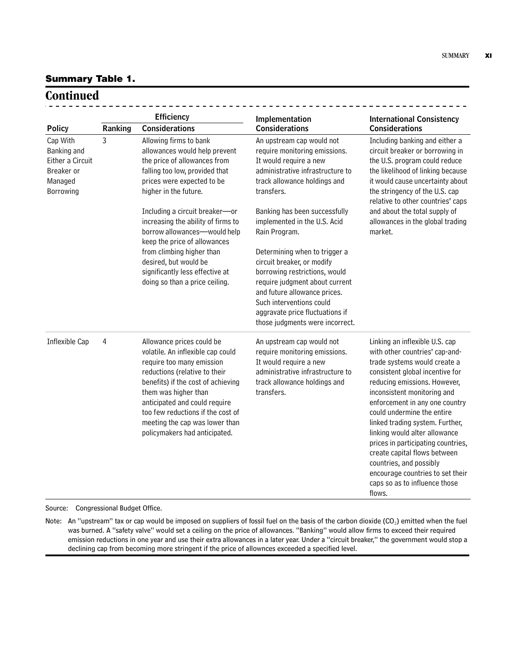#### **Summary Table 1.**

### **Continued**

|                                                                                   | <b>Efficiency</b> |                                                                                                                                                                                                                                                                                                                                     | Implementation                                                                                                                                                                                                                                                                                                  | <b>International Consistency</b>                                                                                                                                                                                                                                                                                                                                                                                                                                                                                       |
|-----------------------------------------------------------------------------------|-------------------|-------------------------------------------------------------------------------------------------------------------------------------------------------------------------------------------------------------------------------------------------------------------------------------------------------------------------------------|-----------------------------------------------------------------------------------------------------------------------------------------------------------------------------------------------------------------------------------------------------------------------------------------------------------------|------------------------------------------------------------------------------------------------------------------------------------------------------------------------------------------------------------------------------------------------------------------------------------------------------------------------------------------------------------------------------------------------------------------------------------------------------------------------------------------------------------------------|
| <b>Policy</b>                                                                     | Ranking           | <b>Considerations</b>                                                                                                                                                                                                                                                                                                               | <b>Considerations</b>                                                                                                                                                                                                                                                                                           | <b>Considerations</b>                                                                                                                                                                                                                                                                                                                                                                                                                                                                                                  |
| Cap With<br>Banking and<br>Either a Circuit<br>Breaker or<br>Managed<br>Borrowing | 3                 | Allowing firms to bank<br>allowances would help prevent<br>the price of allowances from<br>falling too low, provided that<br>prices were expected to be<br>higher in the future.                                                                                                                                                    | An upstream cap would not<br>require monitoring emissions.<br>It would require a new<br>administrative infrastructure to<br>track allowance holdings and<br>transfers.                                                                                                                                          | Including banking and either a<br>circuit breaker or borrowing in<br>the U.S. program could reduce<br>the likelihood of linking because<br>it would cause uncertainty about<br>the stringency of the U.S. cap<br>relative to other countries' caps<br>and about the total supply of<br>allowances in the global trading<br>market.                                                                                                                                                                                     |
|                                                                                   |                   | Including a circuit breaker-or<br>increasing the ability of firms to<br>borrow allowances-would help<br>keep the price of allowances<br>from climbing higher than<br>desired, but would be<br>significantly less effective at<br>doing so than a price ceiling.                                                                     | Banking has been successfully<br>implemented in the U.S. Acid<br>Rain Program.<br>Determining when to trigger a<br>circuit breaker, or modify<br>borrowing restrictions, would<br>require judgment about current<br>and future allowance prices.<br>Such interventions could<br>aggravate price fluctuations if |                                                                                                                                                                                                                                                                                                                                                                                                                                                                                                                        |
|                                                                                   |                   |                                                                                                                                                                                                                                                                                                                                     | those judgments were incorrect.                                                                                                                                                                                                                                                                                 |                                                                                                                                                                                                                                                                                                                                                                                                                                                                                                                        |
| Inflexible Cap                                                                    | 4                 | Allowance prices could be<br>volatile. An inflexible cap could<br>require too many emission<br>reductions (relative to their<br>benefits) if the cost of achieving<br>them was higher than<br>anticipated and could require<br>too few reductions if the cost of<br>meeting the cap was lower than<br>policymakers had anticipated. | An upstream cap would not<br>require monitoring emissions.<br>It would require a new<br>administrative infrastructure to<br>track allowance holdings and<br>transfers.                                                                                                                                          | Linking an inflexible U.S. cap<br>with other countries' cap-and-<br>trade systems would create a<br>consistent global incentive for<br>reducing emissions. However,<br>inconsistent monitoring and<br>enforcement in any one country<br>could undermine the entire<br>linked trading system. Further,<br>linking would alter allowance<br>prices in participating countries,<br>create capital flows between<br>countries, and possibly<br>encourage countries to set their<br>caps so as to influence those<br>flows. |

#### Source: Congressional Budget Office.

Note: An "upstream" tax or cap would be imposed on suppliers of fossil fuel on the basis of the carbon dioxide ( $CO<sub>2</sub>$ ) emitted when the fuel was burned. A "safety valve" would set a ceiling on the price of allowances. "Banking" would allow firms to exceed their required emission reductions in one year and use their extra allowances in a later year. Under a "circuit breaker," the government would stop a declining cap from becoming more stringent if the price of allownces exceeded a specified level.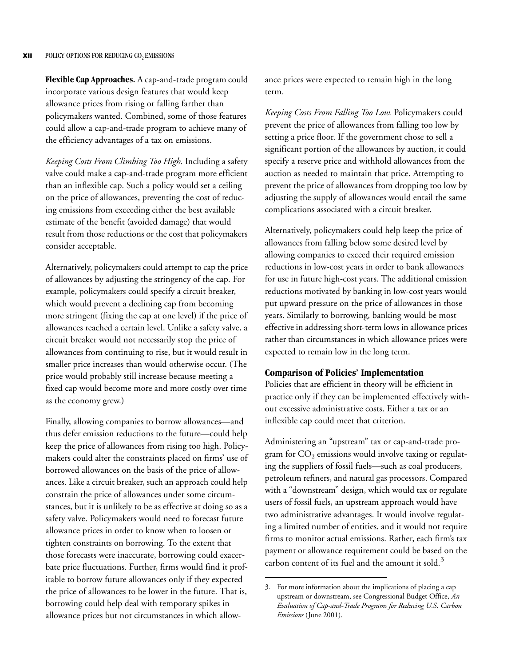**Flexible Cap Approaches.** A cap-and-trade program could incorporate various design features that would keep allowance prices from rising or falling farther than policymakers wanted. Combined, some of those features could allow a cap-and-trade program to achieve many of the efficiency advantages of a tax on emissions.

*Keeping Costs From Climbing Too High.* Including a safety valve could make a cap-and-trade program more efficient than an inflexible cap. Such a policy would set a ceiling on the price of allowances, preventing the cost of reducing emissions from exceeding either the best available estimate of the benefit (avoided damage) that would result from those reductions or the cost that policymakers consider acceptable.

Alternatively, policymakers could attempt to cap the price of allowances by adjusting the stringency of the cap. For example, policymakers could specify a circuit breaker, which would prevent a declining cap from becoming more stringent (fixing the cap at one level) if the price of allowances reached a certain level. Unlike a safety valve, a circuit breaker would not necessarily stop the price of allowances from continuing to rise, but it would result in smaller price increases than would otherwise occur. (The price would probably still increase because meeting a fixed cap would become more and more costly over time as the economy grew.)

Finally, allowing companies to borrow allowances—and thus defer emission reductions to the future—could help keep the price of allowances from rising too high. Policymakers could alter the constraints placed on firms' use of borrowed allowances on the basis of the price of allowances. Like a circuit breaker, such an approach could help constrain the price of allowances under some circumstances, but it is unlikely to be as effective at doing so as a safety valve. Policymakers would need to forecast future allowance prices in order to know when to loosen or tighten constraints on borrowing. To the extent that those forecasts were inaccurate, borrowing could exacerbate price fluctuations. Further, firms would find it profitable to borrow future allowances only if they expected the price of allowances to be lower in the future. That is, borrowing could help deal with temporary spikes in allowance prices but not circumstances in which allowance prices were expected to remain high in the long term.

*Keeping Costs From Falling Too Low.* Policymakers could prevent the price of allowances from falling too low by setting a price floor. If the government chose to sell a significant portion of the allowances by auction, it could specify a reserve price and withhold allowances from the auction as needed to maintain that price. Attempting to prevent the price of allowances from dropping too low by adjusting the supply of allowances would entail the same complications associated with a circuit breaker.

Alternatively, policymakers could help keep the price of allowances from falling below some desired level by allowing companies to exceed their required emission reductions in low-cost years in order to bank allowances for use in future high-cost years. The additional emission reductions motivated by banking in low-cost years would put upward pressure on the price of allowances in those years. Similarly to borrowing, banking would be most effective in addressing short-term lows in allowance prices rather than circumstances in which allowance prices were expected to remain low in the long term.

#### **Comparison of Policies' Implementation**

Policies that are efficient in theory will be efficient in practice only if they can be implemented effectively without excessive administrative costs. Either a tax or an inflexible cap could meet that criterion.

Administering an "upstream" tax or cap-and-trade program for  $CO<sub>2</sub>$  emissions would involve taxing or regulating the suppliers of fossil fuels—such as coal producers, petroleum refiners, and natural gas processors. Compared with a "downstream" design, which would tax or regulate users of fossil fuels, an upstream approach would have two administrative advantages. It would involve regulating a limited number of entities, and it would not require firms to monitor actual emissions. Rather, each firm's tax payment or allowance requirement could be based on the carbon content of its fuel and the amount it sold. $3$ 

<sup>3.</sup> For more information about the implications of placing a cap upstream or downstream, see Congressional Budget Office, *An Evaluation of Cap-and-Trade Programs for Reducing U.S. Carbon Emissions* (June 2001).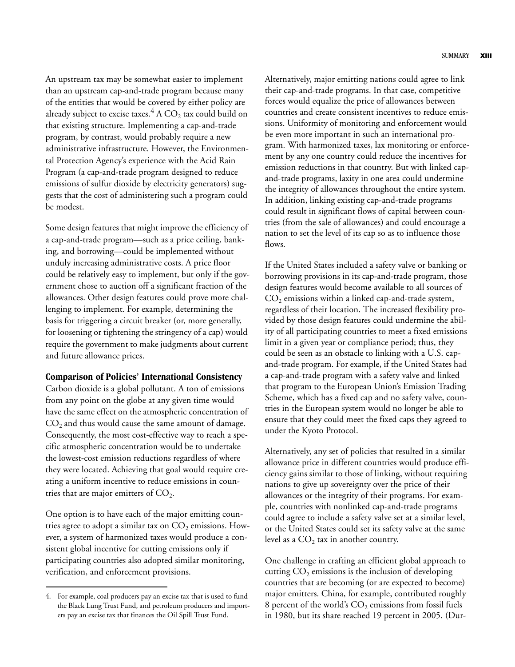An upstream tax may be somewhat easier to implement than an upstream cap-and-trade program because many of the entities that would be covered by either policy are already subject to excise taxes.<sup>4</sup> A CO<sub>2</sub> tax could build on that existing structure. Implementing a cap-and-trade program, by contrast, would probably require a new administrative infrastructure. However, the Environmental Protection Agency's experience with the Acid Rain Program (a cap-and-trade program designed to reduce emissions of sulfur dioxide by electricity generators) suggests that the cost of administering such a program could be modest.

Some design features that might improve the efficiency of a cap-and-trade program—such as a price ceiling, banking, and borrowing—could be implemented without unduly increasing administrative costs. A price floor could be relatively easy to implement, but only if the government chose to auction off a significant fraction of the allowances. Other design features could prove more challenging to implement. For example, determining the basis for triggering a circuit breaker (or, more generally, for loosening or tightening the stringency of a cap) would require the government to make judgments about current and future allowance prices.

#### **Comparison of Policies' International Consistency**

Carbon dioxide is a global pollutant. A ton of emissions from any point on the globe at any given time would have the same effect on the atmospheric concentration of  $CO<sub>2</sub>$  and thus would cause the same amount of damage. Consequently, the most cost-effective way to reach a specific atmospheric concentration would be to undertake the lowest-cost emission reductions regardless of where they were located. Achieving that goal would require creating a uniform incentive to reduce emissions in countries that are major emitters of  $CO<sub>2</sub>$ .

One option is to have each of the major emitting countries agree to adopt a similar tax on  $CO<sub>2</sub>$  emissions. However, a system of harmonized taxes would produce a consistent global incentive for cutting emissions only if participating countries also adopted similar monitoring, verification, and enforcement provisions.

Alternatively, major emitting nations could agree to link their cap-and-trade programs. In that case, competitive forces would equalize the price of allowances between countries and create consistent incentives to reduce emissions. Uniformity of monitoring and enforcement would be even more important in such an international program. With harmonized taxes, lax monitoring or enforcement by any one country could reduce the incentives for emission reductions in that country. But with linked capand-trade programs, laxity in one area could undermine the integrity of allowances throughout the entire system. In addition, linking existing cap-and-trade programs could result in significant flows of capital between countries (from the sale of allowances) and could encourage a nation to set the level of its cap so as to influence those flows.

If the United States included a safety valve or banking or borrowing provisions in its cap-and-trade program, those design features would become available to all sources of  $CO<sub>2</sub>$  emissions within a linked cap-and-trade system, regardless of their location. The increased flexibility provided by those design features could undermine the ability of all participating countries to meet a fixed emissions limit in a given year or compliance period; thus, they could be seen as an obstacle to linking with a U.S. capand-trade program. For example, if the United States had a cap-and-trade program with a safety valve and linked that program to the European Union's Emission Trading Scheme, which has a fixed cap and no safety valve, countries in the European system would no longer be able to ensure that they could meet the fixed caps they agreed to under the Kyoto Protocol.

Alternatively, any set of policies that resulted in a similar allowance price in different countries would produce efficiency gains similar to those of linking, without requiring nations to give up sovereignty over the price of their allowances or the integrity of their programs. For example, countries with nonlinked cap-and-trade programs could agree to include a safety valve set at a similar level, or the United States could set its safety valve at the same level as a  $CO<sub>2</sub>$  tax in another country.

One challenge in crafting an efficient global approach to cutting  $CO<sub>2</sub>$  emissions is the inclusion of developing countries that are becoming (or are expected to become) major emitters. China, for example, contributed roughly 8 percent of the world's  $CO<sub>2</sub>$  emissions from fossil fuels in 1980, but its share reached 19 percent in 2005. (Dur-

<sup>4.</sup> For example, coal producers pay an excise tax that is used to fund the Black Lung Trust Fund, and petroleum producers and importers pay an excise tax that finances the Oil Spill Trust Fund.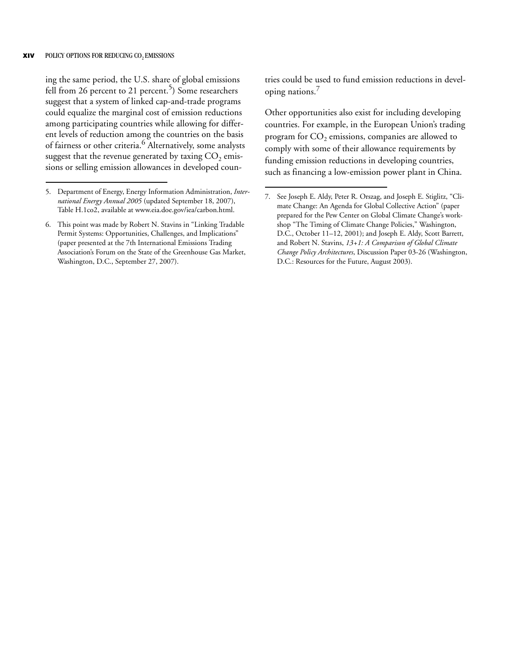ing the same period, the U.S. share of global emissions fell from 26 percent to 21 percent.<sup>5</sup>) Some researchers suggest that a system of linked cap-and-trade programs could equalize the marginal cost of emission reductions among participating countries while allowing for different levels of reduction among the countries on the basis of fairness or other criteria.<sup>6</sup> Alternatively, some analysts suggest that the revenue generated by taxing  $CO<sub>2</sub>$  emissions or selling emission allowances in developed countries could be used to fund emission reductions in developing nations.<sup>7</sup>

Other opportunities also exist for including developing countries. For example, in the European Union's trading program for  $CO<sub>2</sub>$  emissions, companies are allowed to comply with some of their allowance requirements by funding emission reductions in developing countries, such as financing a low-emission power plant in China.

<sup>5.</sup> Department of Energy, Energy Information Administration, *International Energy Annual 2005* (updated September 18, 2007), Table H.1co2, available at www.eia.doe.gov/iea/carbon.html.

<sup>6.</sup> This point was made by Robert N. Stavins in "Linking Tradable Permit Systems: Opportunities, Challenges, and Implications" (paper presented at the 7th International Emissions Trading Association's Forum on the State of the Greenhouse Gas Market, Washington, D.C., September 27, 2007).

<sup>7.</sup> See Joseph E. Aldy, Peter R. Orszag, and Joseph E. Stiglitz, "Climate Change: An Agenda for Global Collective Action" (paper prepared for the Pew Center on Global Climate Change's workshop "The Timing of Climate Change Policies," Washington, D.C., October 11–12, 2001); and Joseph E. Aldy, Scott Barrett, and Robert N. Stavins, *13+1: A Comparison of Global Climate Change Policy Architectures*, Discussion Paper 03-26 (Washington, D.C.: Resources for the Future, August 2003).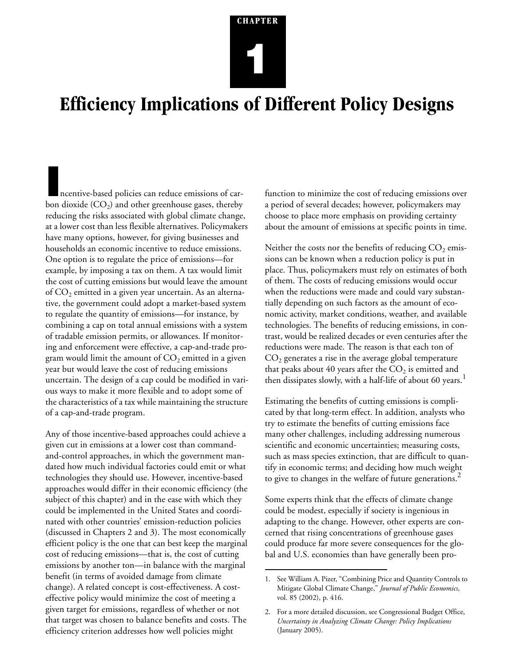# **CHAPTER 1**

# <span id="page-16-1"></span><span id="page-16-0"></span>**Efficiency Implications of Different Policy Designs**

**I**ncentive-based policies can reduce emissions of carbon dioxide  $(CO<sub>2</sub>)$  and other greenhouse gases, thereby reducing the risks associated with global climate change, at a lower cost than less flexible alternatives. Policymakers have many options, however, for giving businesses and households an economic incentive to reduce emissions. One option is to regulate the price of emissions—for example, by imposing a tax on them. A tax would limit the cost of cutting emissions but would leave the amount of  $CO<sub>2</sub>$  emitted in a given year uncertain. As an alternative, the government could adopt a market-based system to regulate the quantity of emissions—for instance, by combining a cap on total annual emissions with a system of tradable emission permits, or allowances. If monitoring and enforcement were effective, a cap-and-trade program would limit the amount of  $CO<sub>2</sub>$  emitted in a given year but would leave the cost of reducing emissions uncertain. The design of a cap could be modified in various ways to make it more flexible and to adopt some of the characteristics of a tax while maintaining the structure of a cap-and-trade program.

Any of those incentive-based approaches could achieve a given cut in emissions at a lower cost than commandand-control approaches, in which the government mandated how much individual factories could emit or what technologies they should use. However, incentive-based approaches would differ in their economic efficiency (the subject of this chapter) and in the ease with which they could be implemented in the United States and coordinated with other countries' emission-reduction policies (discussed in Chapters [2](#page-30-3) and [3\)](#page-34-3). The most economically efficient policy is the one that can best keep the marginal cost of reducing emissions—that is, the cost of cutting emissions by another ton—in balance with the marginal benefit (in terms of avoided damage from climate change). A related concept is cost-effectiveness. A costeffective policy would minimize the cost of meeting a given target for emissions, regardless of whether or not that target was chosen to balance benefits and costs. The efficiency criterion addresses how well policies might

function to minimize the cost of reducing emissions over a period of several decades; however, policymakers may choose to place more emphasis on providing certainty about the amount of emissions at specific points in time.

Neither the costs nor the benefits of reducing  $CO<sub>2</sub>$  emissions can be known when a reduction policy is put in place. Thus, policymakers must rely on estimates of both of them. The costs of reducing emissions would occur when the reductions were made and could vary substantially depending on such factors as the amount of economic activity, market conditions, weather, and available technologies. The benefits of reducing emissions, in contrast, would be realized decades or even centuries after the reductions were made. The reason is that each ton of  $CO<sub>2</sub>$  generates a rise in the average global temperature that peaks about 40 years after the  $CO<sub>2</sub>$  is emitted and then dissipates slowly, with a half-life of about 60 years.<sup>1</sup>

Estimating the benefits of cutting emissions is complicated by that long-term effect. In addition, analysts who try to estimate the benefits of cutting emissions face many other challenges, including addressing numerous scientific and economic uncertainties; measuring costs, such as mass species extinction, that are difficult to quantify in economic terms; and deciding how much weight to give to changes in the welfare of future generations. $<sup>2</sup>$ </sup>

Some experts think that the effects of climate change could be modest, especially if society is ingenious in adapting to the change. However, other experts are concerned that rising concentrations of greenhouse gases could produce far more severe consequences for the global and U.S. economies than have generally been pro-

<sup>1.</sup> See William A. Pizer, "Combining Price and Quantity Controls to Mitigate Global Climate Change," *Journal of Public Economics,* vol. 85 (2002), p. 416.

<sup>2.</sup> For a more detailed discussion, see Congressional Budget Office, *Uncertainty in Analyzing Climate Change: Policy Implications*  (January 2005).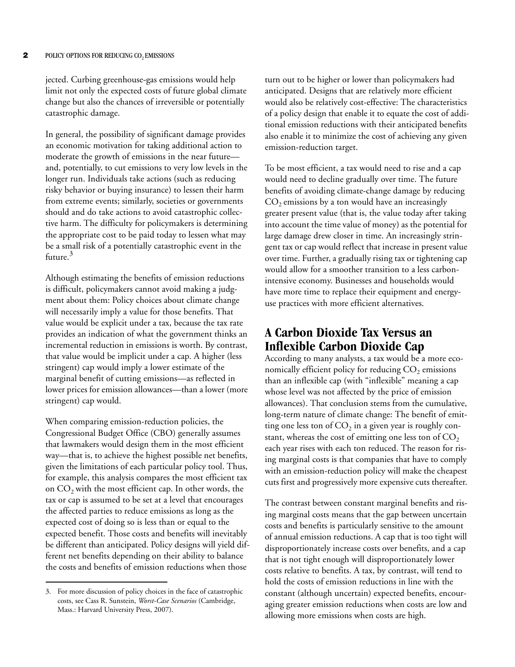jected. Curbing greenhouse-gas emissions would help limit not only the expected costs of future global climate change but also the chances of irreversible or potentially catastrophic damage.

In general, the possibility of significant damage provides an economic motivation for taking additional action to moderate the growth of emissions in the near future and, potentially, to cut emissions to very low levels in the longer run. Individuals take actions (such as reducing risky behavior or buying insurance) to lessen their harm from extreme events; similarly, societies or governments should and do take actions to avoid catastrophic collective harm. The difficulty for policymakers is determining the appropriate cost to be paid today to lessen what may be a small risk of a potentially catastrophic event in the future.<sup>3</sup>

Although estimating the benefits of emission reductions is difficult, policymakers cannot avoid making a judgment about them: Policy choices about climate change will necessarily imply a value for those benefits. That value would be explicit under a tax, because the tax rate provides an indication of what the government thinks an incremental reduction in emissions is worth. By contrast, that value would be implicit under a cap. A higher (less stringent) cap would imply a lower estimate of the marginal benefit of cutting emissions—as reflected in lower prices for emission allowances—than a lower (more stringent) cap would.

When comparing emission-reduction policies, the Congressional Budget Office (CBO) generally assumes that lawmakers would design them in the most efficient way—that is, to achieve the highest possible net benefits, given the limitations of each particular policy tool. Thus, for example, this analysis compares the most efficient tax on  $CO<sub>2</sub>$  with the most efficient cap. In other words, the tax or cap is assumed to be set at a level that encourages the affected parties to reduce emissions as long as the expected cost of doing so is less than or equal to the expected benefit. Those costs and benefits will inevitably be different than anticipated. Policy designs will yield different net benefits depending on their ability to balance the costs and benefits of emission reductions when those

turn out to be higher or lower than policymakers had anticipated. Designs that are relatively more efficient would also be relatively cost-effective: The characteristics of a policy design that enable it to equate the cost of additional emission reductions with their anticipated benefits also enable it to minimize the cost of achieving any given emission-reduction target.

To be most efficient, a tax would need to rise and a cap would need to decline gradually over time. The future benefits of avoiding climate-change damage by reducing  $CO<sub>2</sub>$  emissions by a ton would have an increasingly greater present value (that is, the value today after taking into account the time value of money) as the potential for large damage drew closer in time. An increasingly stringent tax or cap would reflect that increase in present value over time. Further, a gradually rising tax or tightening cap would allow for a smoother transition to a less carbonintensive economy. Businesses and households would have more time to replace their equipment and energyuse practices with more efficient alternatives.

#### <span id="page-17-0"></span>**A Carbon Dioxide Tax Versus an Inflexible Carbon Dioxide Cap**

According to many analysts, a tax would be a more economically efficient policy for reducing  $CO<sub>2</sub>$  emissions than an inflexible cap (with "inflexible" meaning a cap whose level was not affected by the price of emission allowances). That conclusion stems from the cumulative, long-term nature of climate change: The benefit of emitting one less ton of  $CO<sub>2</sub>$  in a given year is roughly constant, whereas the cost of emitting one less ton of  $CO<sub>2</sub>$ each year rises with each ton reduced. The reason for rising marginal costs is that companies that have to comply with an emission-reduction policy will make the cheapest cuts first and progressively more expensive cuts thereafter.

The contrast between constant marginal benefits and rising marginal costs means that the gap between uncertain costs and benefits is particularly sensitive to the amount of annual emission reductions. A cap that is too tight will disproportionately increase costs over benefits, and a cap that is not tight enough will disproportionately lower costs relative to benefits. A tax, by contrast, will tend to hold the costs of emission reductions in line with the constant (although uncertain) expected benefits, encouraging greater emission reductions when costs are low and allowing more emissions when costs are high.

<sup>3.</sup> For more discussion of policy choices in the face of catastrophic costs, see Cass R. Sunstein, *Worst-Case Scenarios* (Cambridge, Mass.: Harvard University Press, 2007).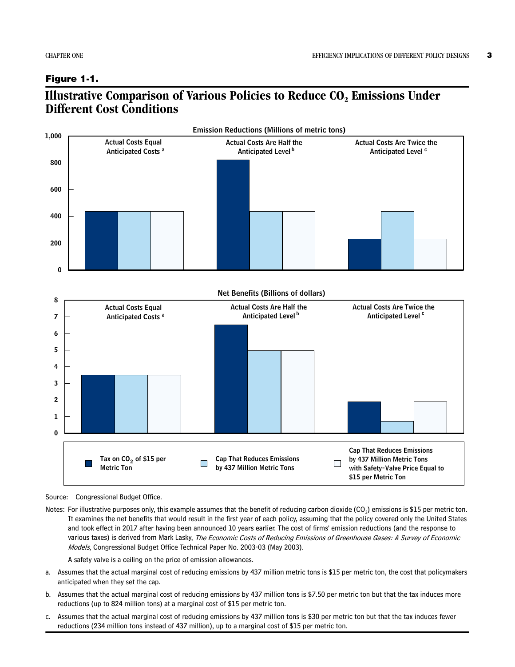#### <span id="page-18-0"></span>**Figure 1-1.**

#### <span id="page-18-1"></span>**Illustrative Comparison of Various Policies to Reduce CO<sub>2</sub> Emissions Under Different Cost Conditions**



Source: Congressional Budget Office.

Notes: For illustrative purposes only, this example assumes that the benefit of reducing carbon dioxide (CO<sub>2</sub>) emissions is \$15 per metric ton. It examines the net benefits that would result in the first year of each policy, assuming that the policy covered only the United States and took effect in 2017 after having been announced 10 years earlier. The cost of firms' emission reductions (and the response to various taxes) is derived from Mark Lasky, The Economic Costs of Reducing Emissions of Greenhouse Gases: A Survey of Economic Models, Congressional Budget Office Technical Paper No. 2003-03 (May 2003).

A safety valve is a ceiling on the price of emission allowances.

- a. Assumes that the actual marginal cost of reducing emissions by 437 million metric tons is \$15 per metric ton, the cost that policymakers anticipated when they set the cap.
- b. Assumes that the actual marginal cost of reducing emissions by 437 million tons is \$7.50 per metric ton but that the tax induces more reductions (up to 824 million tons) at a marginal cost of \$15 per metric ton.
- c. Assumes that the actual marginal cost of reducing emissions by 437 million tons is \$30 per metric ton but that the tax induces fewer reductions (234 million tons instead of 437 million), up to a marginal cost of \$15 per metric ton.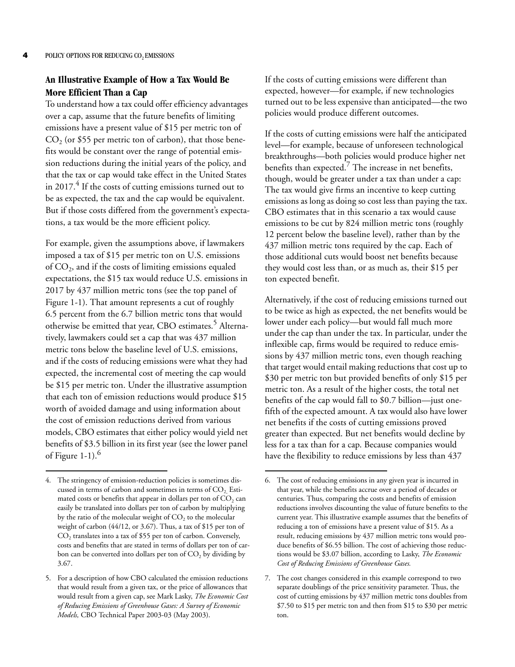#### **An Illustrative Example of How a Tax Would Be More Efficient Than a Cap**

To understand how a tax could offer efficiency advantages over a cap, assume that the future benefits of limiting emissions have a present value of \$15 per metric ton of  $CO<sub>2</sub>$  (or \$55 per metric ton of carbon), that those benefits would be constant over the range of potential emission reductions during the initial years of the policy, and that the tax or cap would take effect in the United States in 2017. $^4$  If the costs of cutting emissions turned out to be as expected, the tax and the cap would be equivalent. But if those costs differed from the government's expectations, a tax would be the more efficient policy.

For example, given the assumptions above, if lawmakers imposed a tax of \$15 per metric ton on U.S. emissions of  $CO<sub>2</sub>$ , and if the costs of limiting emissions equaled expectations, the \$15 tax would reduce U.S. emissions in 2017 by 437 million metric tons (see the top panel of [Figure 1-1\)](#page-18-0). That amount represents a cut of roughly 6.5 percent from the 6.7 billion metric tons that would otherwise be emitted that year, CBO estimates.<sup>5</sup> Alternatively, lawmakers could set a cap that was 437 million metric tons below the baseline level of U.S. emissions, and if the costs of reducing emissions were what they had expected, the incremental cost of meeting the cap would be \$15 per metric ton. Under the illustrative assumption that each ton of emission reductions would produce \$15 worth of avoided damage and using information about the cost of emission reductions derived from various models, CBO estimates that either policy would yield net benefits of \$3.5 billion in its first year (see the lower panel of [Figure 1-1](#page-18-0)). $^{6}$ 

If the costs of cutting emissions were different than expected, however—for example, if new technologies turned out to be less expensive than anticipated—the two policies would produce different outcomes.

If the costs of cutting emissions were half the anticipated level—for example, because of unforeseen technological breakthroughs—both policies would produce higher net benefits than expected.<sup>7</sup> The increase in net benefits, though, would be greater under a tax than under a cap: The tax would give firms an incentive to keep cutting emissions as long as doing so cost less than paying the tax. CBO estimates that in this scenario a tax would cause emissions to be cut by 824 million metric tons (roughly 12 percent below the baseline level), rather than by the 437 million metric tons required by the cap. Each of those additional cuts would boost net benefits because they would cost less than, or as much as, their \$15 per ton expected benefit.

Alternatively, if the cost of reducing emissions turned out to be twice as high as expected, the net benefits would be lower under each policy—but would fall much more under the cap than under the tax. In particular, under the inflexible cap, firms would be required to reduce emissions by 437 million metric tons, even though reaching that target would entail making reductions that cost up to \$30 per metric ton but provided benefits of only \$15 per metric ton. As a result of the higher costs, the total net benefits of the cap would fall to \$0.7 billion—just onefifth of the expected amount. A tax would also have lower net benefits if the costs of cutting emissions proved greater than expected. But net benefits would decline by less for a tax than for a cap. Because companies would have the flexibility to reduce emissions by less than 437

<sup>4.</sup> The stringency of emission-reduction policies is sometimes discussed in terms of carbon and sometimes in terms of  $CO<sub>2</sub>$ . Estimated costs or benefits that appear in dollars per ton of  $CO<sub>2</sub>$  can easily be translated into dollars per ton of carbon by multiplying by the ratio of the molecular weight of  $CO<sub>2</sub>$  to the molecular weight of carbon (44/12, or 3.67). Thus, a tax of \$15 per ton of  $CO<sub>2</sub>$  translates into a tax of \$55 per ton of carbon. Conversely, costs and benefits that are stated in terms of dollars per ton of carbon can be converted into dollars per ton of  $CO<sub>2</sub>$  by dividing by 3.67.

<sup>5.</sup> For a description of how CBO calculated the emission reductions that would result from a given tax, or the price of allowances that would result from a given cap, see Mark Lasky, *The Economic Cost of Reducing Emissions of Greenhouse Gases: A Survey of Economic Models,* CBO Technical Paper 2003-03 (May 2003).

<sup>6.</sup> The cost of reducing emissions in any given year is incurred in that year, while the benefits accrue over a period of decades or centuries. Thus, comparing the costs and benefits of emission reductions involves discounting the value of future benefits to the current year. This illustrative example assumes that the benefits of reducing a ton of emissions have a present value of \$15. As a result, reducing emissions by 437 million metric tons would produce benefits of \$6.55 billion. The cost of achieving those reductions would be \$3.07 billion, according to Lasky, *The Economic Cost of Reducing Emissions of Greenhouse Gases.*

<sup>7.</sup> The cost changes considered in this example correspond to two separate doublings of the price sensitivity parameter. Thus, the cost of cutting emissions by 437 million metric tons doubles from \$7.50 to \$15 per metric ton and then from \$15 to \$30 per metric ton.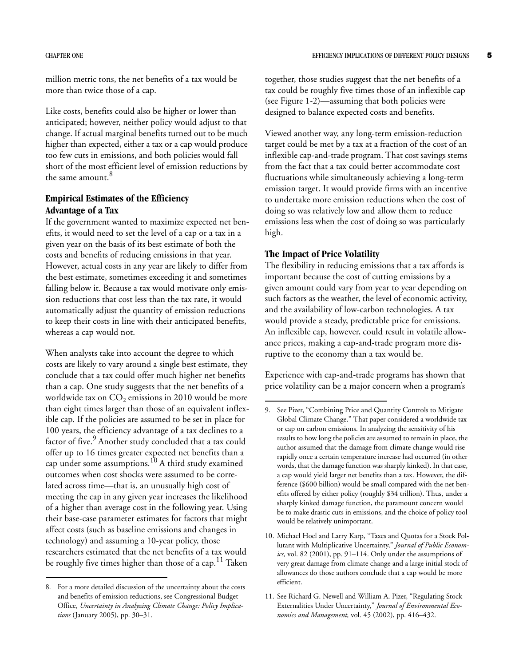million metric tons, the net benefits of a tax would be more than twice those of a cap.

Like costs, benefits could also be higher or lower than anticipated; however, neither policy would adjust to that change. If actual marginal benefits turned out to be much higher than expected, either a tax or a cap would produce too few cuts in emissions, and both policies would fall short of the most efficient level of emission reductions by the same amount.<sup>8</sup>

#### **Empirical Estimates of the Efficiency Advantage of a Tax**

If the government wanted to maximize expected net benefits, it would need to set the level of a cap or a tax in a given year on the basis of its best estimate of both the costs and benefits of reducing emissions in that year. However, actual costs in any year are likely to differ from the best estimate, sometimes exceeding it and sometimes falling below it. Because a tax would motivate only emission reductions that cost less than the tax rate, it would automatically adjust the quantity of emission reductions to keep their costs in line with their anticipated benefits, whereas a cap would not.

When analysts take into account the degree to which costs are likely to vary around a single best estimate, they conclude that a tax could offer much higher net benefits than a cap. One study suggests that the net benefits of a worldwide tax on  $CO<sub>2</sub>$  emissions in 2010 would be more than eight times larger than those of an equivalent inflexible cap. If the policies are assumed to be set in place for 100 years, the efficiency advantage of a tax declines to a factor of five.<sup>9</sup> Another study concluded that a tax could offer up to 16 times greater expected net benefits than a cap under some assumptions.<sup>10</sup> A third study examined outcomes when cost shocks were assumed to be correlated across time—that is, an unusually high cost of meeting the cap in any given year increases the likelihood of a higher than average cost in the following year. Using their base-case parameter estimates for factors that might affect costs (such as baseline emissions and changes in technology) and assuming a 10-year policy, those researchers estimated that the net benefits of a tax would be roughly five times higher than those of a cap.<sup>11</sup> Taken

together, those studies suggest that the net benefits of a tax could be roughly five times those of an inflexible cap (see [Figure 1-2\)](#page-21-0)—assuming that both policies were designed to balance expected costs and benefits.

Viewed another way, any long-term emission-reduction target could be met by a tax at a fraction of the cost of an inflexible cap-and-trade program. That cost savings stems from the fact that a tax could better accommodate cost fluctuations while simultaneously achieving a long-term emission target. It would provide firms with an incentive to undertake more emission reductions when the cost of doing so was relatively low and allow them to reduce emissions less when the cost of doing so was particularly high.

#### **The Impact of Price Volatility**

The flexibility in reducing emissions that a tax affords is important because the cost of cutting emissions by a given amount could vary from year to year depending on such factors as the weather, the level of economic activity, and the availability of low-carbon technologies. A tax would provide a steady, predictable price for emissions. An inflexible cap, however, could result in volatile allowance prices, making a cap-and-trade program more disruptive to the economy than a tax would be.

Experience with cap-and-trade programs has shown that price volatility can be a major concern when a program's

<sup>8.</sup> For a more detailed discussion of the uncertainty about the costs and benefits of emission reductions, see Congressional Budget Office, *Uncertainty in Analyzing Climate Change: Policy Implications* (January 2005), pp. 30–31.

<sup>9.</sup> See Pizer, "Combining Price and Quantity Controls to Mitigate Global Climate Change." That paper considered a worldwide tax or cap on carbon emissions. In analyzing the sensitivity of his results to how long the policies are assumed to remain in place, the author assumed that the damage from climate change would rise rapidly once a certain temperature increase had occurred (in other words, that the damage function was sharply kinked). In that case, a cap would yield larger net benefits than a tax. However, the difference (\$600 billion) would be small compared with the net benefits offered by either policy (roughly \$34 trillion). Thus, under a sharply kinked damage function, the paramount concern would be to make drastic cuts in emissions, and the choice of policy tool would be relatively unimportant.

<sup>10.</sup> Michael Hoel and Larry Karp, "Taxes and Quotas for a Stock Pollutant with Multiplicative Uncertainty," *Journal of Public Economics,* vol. 82 (2001), pp. 91–114. Only under the assumptions of very great damage from climate change and a large initial stock of allowances do those authors conclude that a cap would be more efficient.

<sup>11.</sup> See Richard G. Newell and William A. Pizer, "Regulating Stock Externalities Under Uncertainty," *Journal of Environmental Economics and Management,* vol. 45 (2002), pp. 416–432.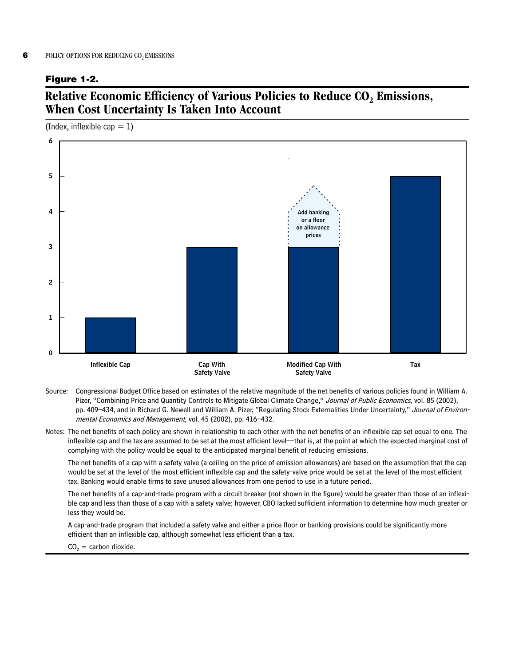#### <span id="page-21-0"></span>**Figure 1-2.**

#### Relative Economic Efficiency of Various Policies to Reduce CO<sub>2</sub> Emissions, **When Cost Uncertainty Is Taken Into Account**

#### (Index, inflexible cap  $= 1$ )



- Source: Congressional Budget Office based on estimates of the relative magnitude of the net benefits of various policies found in William A. Pizer, "Combining Price and Quantity Controls to Mitigate Global Climate Change," Journal of Public Economics, vol. 85 (2002), pp. 409-434, and in Richard G. Newell and William A. Pizer, "Regulating Stock Externalities Under Uncertainty," Journal of Environmental Economics and Management, vol. 45 (2002), pp. 416–432.
- Notes: The net benefits of each policy are shown in relationship to each other with the net benefits of an inflexible cap set equal to one. The inflexible cap and the tax are assumed to be set at the most efficient level—that is, at the point at which the expected marginal cost of complying with the policy would be equal to the anticipated marginal benefit of reducing emissions.

The net benefits of a cap with a safety valve (a ceiling on the price of emission allowances) are based on the assumption that the cap would be set at the level of the most efficient inflexible cap and the safety-valve price would be set at the level of the most efficient tax. Banking would enable firms to save unused allowances from one period to use in a future period.

The net benefits of a cap-and-trade program with a circuit breaker (not shown in the figure) would be greater than those of an inflexible cap and less than those of a cap with a safety valve; however, CBO lacked sufficient information to determine how much greater or less they would be.

A cap-and-trade program that included a safety valve and either a price floor or banking provisions could be significantly more efficient than an inflexible cap, although somewhat less efficient than a tax.

 $CO<sub>2</sub> =$  carbon dioxide.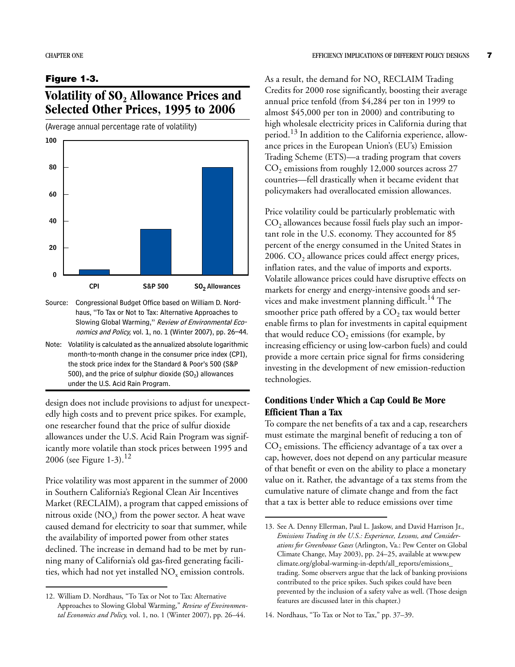#### <span id="page-22-1"></span><span id="page-22-0"></span>**Figure 1-3. Volatility of SO<sub>2</sub> Allowance Prices and Selected Other Prices, 1995 to 2006**

(Average annual percentage rate of volatility)



- Source: Congressional Budget Office based on William D. Nordhaus, "To Tax or Not to Tax: Alternative Approaches to Slowing Global Warming," Review of Environmental Economics and Policy, vol. 1, no. 1 (Winter 2007), pp. 26-44.
- Note: Volatility is calculated as the annualized absolute logarithmic month-to-month change in the consumer price index (CPI), the stock price index for the Standard & Poor's 500 (S&P 500), and the price of sulphur dioxide  $(SO<sub>2</sub>)$  allowances under the U.S. Acid Rain Program.

design does not include provisions to adjust for unexpectedly high costs and to prevent price spikes. For example, one researcher found that the price of sulfur dioxide allowances under the U.S. Acid Rain Program was significantly more volatile than stock prices between 1995 and 2006 (see [Figure 1-3](#page-22-0)).<sup>12</sup>

Price volatility was most apparent in the summer of 2000 in Southern California's Regional Clean Air Incentives Market (RECLAIM), a program that capped emissions of nitrous oxide  $(NO_x)$  from the power sector. A heat wave caused demand for electricity to soar that summer, while the availability of imported power from other states declined. The increase in demand had to be met by running many of California's old gas-fired generating facilities, which had not yet installed  $NO<sub>x</sub>$  emission controls.

As a result, the demand for  $NO<sub>x</sub> RECLAIM Trading$ Credits for 2000 rose significantly, boosting their average annual price tenfold (from \$4,284 per ton in 1999 to almost \$45,000 per ton in 2000) and contributing to high wholesale electricity prices in California during that period.13 In addition to the California experience, allowance prices in the European Union's (EU's) Emission Trading Scheme (ETS)—a trading program that covers  $CO<sub>2</sub>$  emissions from roughly 12,000 sources across 27 countries—fell drastically when it became evident that policymakers had overallocated emission allowances.

Price volatility could be particularly problematic with  $CO<sub>2</sub>$  allowances because fossil fuels play such an important role in the U.S. economy. They accounted for 85 percent of the energy consumed in the United States in  $2006$ .  $CO<sub>2</sub>$  allowance prices could affect energy prices, inflation rates, and the value of imports and exports. Volatile allowance prices could have disruptive effects on markets for energy and energy-intensive goods and services and make investment planning difficult.<sup>14</sup> The smoother price path offered by a  $CO<sub>2</sub>$  tax would better enable firms to plan for investments in capital equipment that would reduce  $CO<sub>2</sub>$  emissions (for example, by increasing efficiency or using low-carbon fuels) and could provide a more certain price signal for firms considering investing in the development of new emission-reduction technologies.

#### **Conditions Under Which a Cap Could Be More Efficient Than a Tax**

To compare the net benefits of a tax and a cap, researchers must estimate the marginal benefit of reducing a ton of  $CO<sub>2</sub>$  emissions. The efficiency advantage of a tax over a cap, however, does not depend on any particular measure of that benefit or even on the ability to place a monetary value on it. Rather, the advantage of a tax stems from the cumulative nature of climate change and from the fact that a tax is better able to reduce emissions over time

<sup>12.</sup> William D. Nordhaus, "To Tax or Not to Tax: Alternative Approaches to Slowing Global Warming," *Review of Environmental Economics and Policy,* vol. 1, no. 1 (Winter 2007), pp. 26–44.

<sup>13.</sup> See A. Denny Ellerman, Paul L. Jaskow, and David Harrison Jr., *Emissions Trading in the U.S.: Experience, Lessons, and Considerations for Greenhouse Gases* (Arlington, Va.: Pew Center on Global Climate Change, May 2003), pp. 24–25, available at www.pew climate.org/global-warming-in-depth/all\_reports/emissions\_ trading. Some observers argue that the lack of banking provisions contributed to the price spikes. Such spikes could have been prevented by the inclusion of a safety valve as well. (Those design features are discussed later in this chapter.)

<sup>14.</sup> Nordhaus, "To Tax or Not to Tax," pp. 37–39.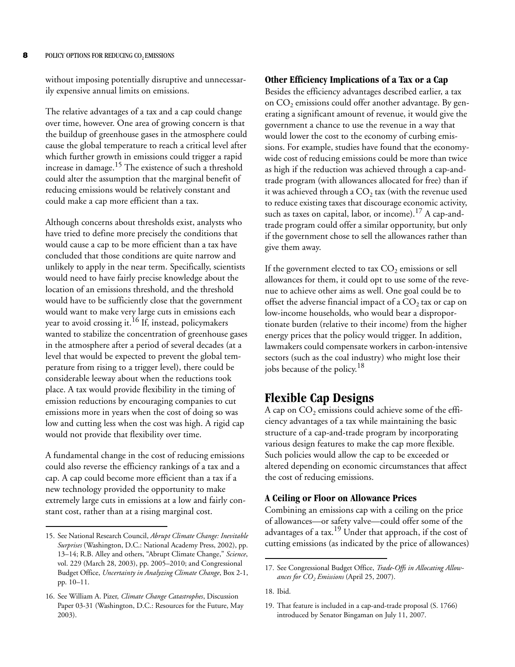without imposing potentially disruptive and unnecessarily expensive annual limits on emissions.

The relative advantages of a tax and a cap could change over time, however. One area of growing concern is that the buildup of greenhouse gases in the atmosphere could cause the global temperature to reach a critical level after which further growth in emissions could trigger a rapid increase in damage.<sup>15</sup> The existence of such a threshold could alter the assumption that the marginal benefit of reducing emissions would be relatively constant and could make a cap more efficient than a tax.

Although concerns about thresholds exist, analysts who have tried to define more precisely the conditions that would cause a cap to be more efficient than a tax have concluded that those conditions are quite narrow and unlikely to apply in the near term. Specifically, scientists would need to have fairly precise knowledge about the location of an emissions threshold, and the threshold would have to be sufficiently close that the government would want to make very large cuts in emissions each year to avoid crossing it.<sup>16</sup> If, instead, policymakers wanted to stabilize the concentration of greenhouse gases in the atmosphere after a period of several decades (at a level that would be expected to prevent the global temperature from rising to a trigger level), there could be considerable leeway about when the reductions took place. A tax would provide flexibility in the timing of emission reductions by encouraging companies to cut emissions more in years when the cost of doing so was low and cutting less when the cost was high. A rigid cap would not provide that flexibility over time.

A fundamental change in the cost of reducing emissions could also reverse the efficiency rankings of a tax and a cap. A cap could become more efficient than a tax if a new technology provided the opportunity to make extremely large cuts in emissions at a low and fairly constant cost, rather than at a rising marginal cost.

#### **Other Efficiency Implications of a Tax or a Cap**

Besides the efficiency advantages described earlier, a tax on  $CO<sub>2</sub>$  emissions could offer another advantage. By generating a significant amount of revenue, it would give the government a chance to use the revenue in a way that would lower the cost to the economy of curbing emissions. For example, studies have found that the economywide cost of reducing emissions could be more than twice as high if the reduction was achieved through a cap-andtrade program (with allowances allocated for free) than if it was achieved through a  $CO<sub>2</sub>$  tax (with the revenue used to reduce existing taxes that discourage economic activity, such as taxes on capital, labor, or income).<sup>17</sup> A cap-andtrade program could offer a similar opportunity, but only if the government chose to sell the allowances rather than give them away.

If the government elected to tax  $CO<sub>2</sub>$  emissions or sell allowances for them, it could opt to use some of the revenue to achieve other aims as well. One goal could be to offset the adverse financial impact of a  $CO<sub>2</sub>$  tax or cap on low-income households, who would bear a disproportionate burden (relative to their income) from the higher energy prices that the policy would trigger. In addition, lawmakers could compensate workers in carbon-intensive sectors (such as the coal industry) who might lose their jobs because of the policy.<sup>18</sup>

#### <span id="page-23-0"></span>**Flexible Cap Designs**

A cap on  $CO<sub>2</sub>$  emissions could achieve some of the efficiency advantages of a tax while maintaining the basic structure of a cap-and-trade program by incorporating various design features to make the cap more flexible. Such policies would allow the cap to be exceeded or altered depending on economic circumstances that affect the cost of reducing emissions.

#### **A Ceiling or Floor on Allowance Prices**

Combining an emissions cap with a ceiling on the price of allowances—or safety valve—could offer some of the advantages of a tax.<sup>19</sup> Under that approach, if the cost of cutting emissions (as indicated by the price of allowances)

<sup>15.</sup> See National Research Council, *Abrupt Climate Change: Inevitable Surprises* (Washington, D.C.: National Academy Press, 2002), pp. 13–14; R.B. Alley and others, "Abrupt Climate Change," *Science*, vol. 229 (March 28, 2003), pp. 2005–2010; and Congressional Budget Office, *Uncertainty in Analyzing Climate Change*, Box 2-1, pp. 10–11.

<sup>16.</sup> See William A. Pizer, *Climate Change Catastrophes*, Discussion Paper 03-31 (Washington, D.C.: Resources for the Future, May 2003).

<sup>17.</sup> See Congressional Budget Office, *Trade-Offs in Allocating Allowances for CO<sub>2</sub> Emissions* (April 25, 2007).

<sup>18.</sup> Ibid.

<sup>19.</sup> That feature is included in a cap-and-trade proposal (S. 1766) introduced by Senator Bingaman on July 11, 2007.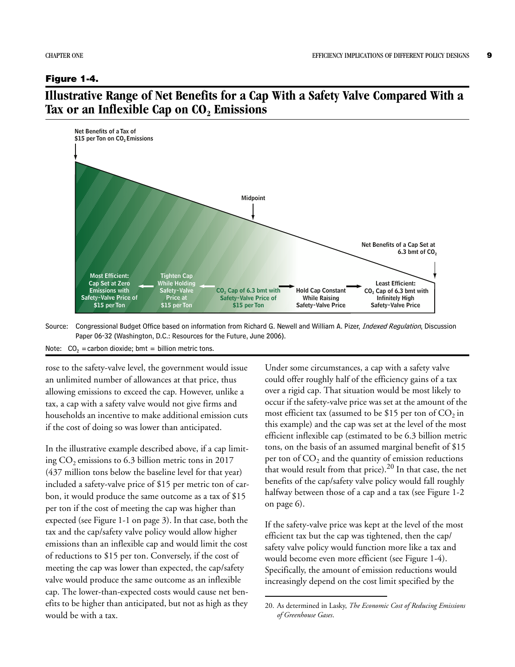#### <span id="page-24-0"></span>**Figure 1-4.**

### **Illustrative Range of Net Benefits for a Cap With a Safety Valve Compared With a**  Tax or an Inflexible Cap on CO<sub>2</sub> Emissions



Source: Congressional Budget Office based on information from Richard G. Newell and William A. Pizer, *Indexed Regulation*, Discussion Paper 06-32 (Washington, D.C.: Resources for the Future, June 2006).

Note:  $CO<sub>2</sub> =$ carbon dioxide; bmt = billion metric tons.

rose to the safety-valve level, the government would issue an unlimited number of allowances at that price, thus allowing emissions to exceed the cap. However, unlike a tax, a cap with a safety valve would not give firms and households an incentive to make additional emission cuts if the cost of doing so was lower than anticipated.

In the illustrative example described above, if a cap limiting  $CO<sub>2</sub>$  emissions to 6.3 billion metric tons in 2017 (437 million tons below the baseline level for that year) included a safety-valve price of \$15 per metric ton of carbon, it would produce the same outcome as a tax of \$15 per ton if the cost of meeting the cap was higher than expected (see [Figure 1-1 on page 3\)](#page-18-0). In that case, both the tax and the cap/safety valve policy would allow higher emissions than an inflexible cap and would limit the cost of reductions to \$15 per ton. Conversely, if the cost of meeting the cap was lower than expected, the cap/safety valve would produce the same outcome as an inflexible cap. The lower-than-expected costs would cause net benefits to be higher than anticipated, but not as high as they would be with a tax.

Under some circumstances, a cap with a safety valve could offer roughly half of the efficiency gains of a tax over a rigid cap. That situation would be most likely to occur if the safety-valve price was set at the amount of the most efficient tax (assumed to be \$15 per ton of  $CO<sub>2</sub>$  in this example) and the cap was set at the level of the most efficient inflexible cap (estimated to be 6.3 billion metric tons, on the basis of an assumed marginal benefit of \$15 per ton of  $CO<sub>2</sub>$  and the quantity of emission reductions that would result from that price).20 In that case, the net benefits of the cap/safety valve policy would fall roughly halfway between those of a cap and a tax (see [Figure 1-2](#page-21-0)  [on page 6](#page-21-0)).

If the safety-valve price was kept at the level of the most efficient tax but the cap was tightened, then the cap/ safety valve policy would function more like a tax and would become even more efficient (see [Figure 1-4\)](#page-24-0). Specifically, the amount of emission reductions would increasingly depend on the cost limit specified by the

<sup>20.</sup> As determined in Lasky, *The Economic Cost of Reducing Emissions of Greenhouse Gases*.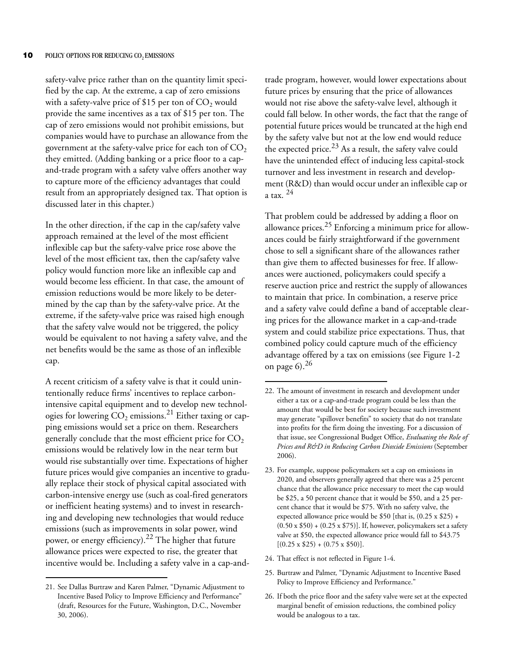safety-valve price rather than on the quantity limit specified by the cap. At the extreme, a cap of zero emissions with a safety-valve price of \$15 per ton of  $CO<sub>2</sub>$  would provide the same incentives as a tax of \$15 per ton. The cap of zero emissions would not prohibit emissions, but companies would have to purchase an allowance from the government at the safety-valve price for each ton of  $CO<sub>2</sub>$ they emitted. (Adding banking or a price floor to a capand-trade program with a safety valve offers another way to capture more of the efficiency advantages that could result from an appropriately designed tax. That option is discussed later in this chapter.)

In the other direction, if the cap in the cap/safety valve approach remained at the level of the most efficient inflexible cap but the safety-valve price rose above the level of the most efficient tax, then the cap/safety valve policy would function more like an inflexible cap and would become less efficient. In that case, the amount of emission reductions would be more likely to be determined by the cap than by the safety-valve price. At the extreme, if the safety-valve price was raised high enough that the safety valve would not be triggered, the policy would be equivalent to not having a safety valve, and the net benefits would be the same as those of an inflexible cap.

A recent criticism of a safety valve is that it could unintentionally reduce firms' incentives to replace carbonintensive capital equipment and to develop new technologies for lowering  $CO<sub>2</sub>$  emissions.<sup>21</sup> Either taxing or capping emissions would set a price on them. Researchers generally conclude that the most efficient price for  $CO<sub>2</sub>$ emissions would be relatively low in the near term but would rise substantially over time. Expectations of higher future prices would give companies an incentive to gradually replace their stock of physical capital associated with carbon-intensive energy use (such as coal-fired generators or inefficient heating systems) and to invest in researching and developing new technologies that would reduce emissions (such as improvements in solar power, wind power, or energy efficiency).22 The higher that future allowance prices were expected to rise, the greater that incentive would be. Including a safety valve in a cap-andtrade program, however, would lower expectations about future prices by ensuring that the price of allowances would not rise above the safety-valve level, although it could fall below. In other words, the fact that the range of potential future prices would be truncated at the high end by the safety valve but not at the low end would reduce the expected price.<sup>23</sup> As a result, the safety valve could have the unintended effect of inducing less capital-stock turnover and less investment in research and development (R&D) than would occur under an inflexible cap or a tax.  $^{24}$ 

That problem could be addressed by adding a floor on allowance prices.<sup>25</sup> Enforcing a minimum price for allowances could be fairly straightforward if the government chose to sell a significant share of the allowances rather than give them to affected businesses for free. If allowances were auctioned, policymakers could specify a reserve auction price and restrict the supply of allowances to maintain that price. In combination, a reserve price and a safety valve could define a band of acceptable clearing prices for the allowance market in a cap-and-trade system and could stabilize price expectations. Thus, that combined policy could capture much of the efficiency advantage offered by a tax on emissions (see [Figure 1-2](#page-21-0)  [on page 6](#page-21-0)). $^{26}$ 

- 24. That effect is not reflected in Figure 1-4.
- 25. Burtraw and Palmer, "Dynamic Adjustment to Incentive Based Policy to Improve Efficiency and Performance."
- 26. If both the price floor and the safety valve were set at the expected marginal benefit of emission reductions, the combined policy would be analogous to a tax.

<sup>21.</sup> See Dallas Burtraw and Karen Palmer, "Dynamic Adjustment to Incentive Based Policy to Improve Efficiency and Performance" (draft, Resources for the Future, Washington, D.C., November 30, 2006).

<sup>22.</sup> The amount of investment in research and development under either a tax or a cap-and-trade program could be less than the amount that would be best for society because such investment may generate "spillover benefits" to society that do not translate into profits for the firm doing the investing. For a discussion of that issue, see Congressional Budget Office, *Evaluating the Role of Prices and R&D in Reducing Carbon Dioxide Emissions* (September 2006).

<sup>23.</sup> For example, suppose policymakers set a cap on emissions in 2020, and observers generally agreed that there was a 25 percent chance that the allowance price necessary to meet the cap would be \$25, a 50 percent chance that it would be \$50, and a 25 percent chance that it would be \$75. With no safety valve, the expected allowance price would be \$50 [that is, (0.25 x \$25) +  $(0.50 \times $50) + (0.25 \times $75)$ ]. If, however, policymakers set a safety valve at \$50, the expected allowance price would fall to \$43.75  $[(0.25 \times $25) + (0.75 \times $50)].$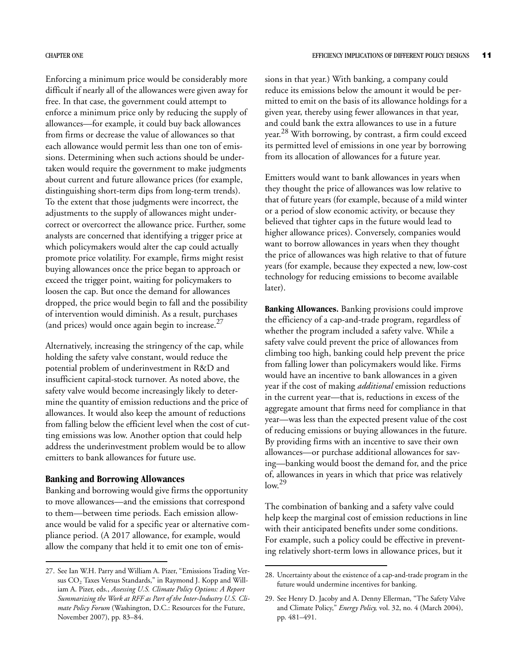Enforcing a minimum price would be considerably more difficult if nearly all of the allowances were given away for free. In that case, the government could attempt to enforce a minimum price only by reducing the supply of allowances—for example, it could buy back allowances from firms or decrease the value of allowances so that each allowance would permit less than one ton of emissions. Determining when such actions should be undertaken would require the government to make judgments about current and future allowance prices (for example, distinguishing short-term dips from long-term trends). To the extent that those judgments were incorrect, the adjustments to the supply of allowances might undercorrect or overcorrect the allowance price. Further, some analysts are concerned that identifying a trigger price at which policymakers would alter the cap could actually promote price volatility. For example, firms might resist buying allowances once the price began to approach or exceed the trigger point, waiting for policymakers to loosen the cap. But once the demand for allowances dropped, the price would begin to fall and the possibility of intervention would diminish. As a result, purchases (and prices) would once again begin to increase. $27$ 

Alternatively, increasing the stringency of the cap, while holding the safety valve constant, would reduce the potential problem of underinvestment in R&D and insufficient capital-stock turnover. As noted above, the safety valve would become increasingly likely to determine the quantity of emission reductions and the price of allowances. It would also keep the amount of reductions from falling below the efficient level when the cost of cutting emissions was low. Another option that could help address the underinvestment problem would be to allow emitters to bank allowances for future use.

#### **Banking and Borrowing Allowances**

Banking and borrowing would give firms the opportunity to move allowances—and the emissions that correspond to them—between time periods. Each emission allowance would be valid for a specific year or alternative compliance period. (A 2017 allowance, for example, would allow the company that held it to emit one ton of emissions in that year.) With banking, a company could reduce its emissions below the amount it would be permitted to emit on the basis of its allowance holdings for a given year, thereby using fewer allowances in that year, and could bank the extra allowances to use in a future year.<sup>28</sup> With borrowing, by contrast, a firm could exceed its permitted level of emissions in one year by borrowing from its allocation of allowances for a future year.

Emitters would want to bank allowances in years when they thought the price of allowances was low relative to that of future years (for example, because of a mild winter or a period of slow economic activity, or because they believed that tighter caps in the future would lead to higher allowance prices). Conversely, companies would want to borrow allowances in years when they thought the price of allowances was high relative to that of future years (for example, because they expected a new, low-cost technology for reducing emissions to become available later).

**Banking Allowances.** Banking provisions could improve the efficiency of a cap-and-trade program, regardless of whether the program included a safety valve. While a safety valve could prevent the price of allowances from climbing too high, banking could help prevent the price from falling lower than policymakers would like. Firms would have an incentive to bank allowances in a given year if the cost of making *additional* emission reductions in the current year—that is, reductions in excess of the aggregate amount that firms need for compliance in that year—was less than the expected present value of the cost of reducing emissions or buying allowances in the future. By providing firms with an incentive to save their own allowances—or purchase additional allowances for saving—banking would boost the demand for, and the price of, allowances in years in which that price was relatively  $low.<sup>29</sup>$ 

The combination of banking and a safety valve could help keep the marginal cost of emission reductions in line with their anticipated benefits under some conditions. For example, such a policy could be effective in preventing relatively short-term lows in allowance prices, but it

<sup>27.</sup> See Ian W.H. Parry and William A. Pizer, "Emissions Trading Versus  $CO<sub>2</sub>$  Taxes Versus Standards," in Raymond J. Kopp and William A. Pizer, eds., *Assessing U.S. Climate Policy Options: A Report Summarizing the Work at RFF as Part of the Inter-Industry U.S. Climate Policy Forum* (Washington, D.C.: Resources for the Future, November 2007), pp. 83–84.

<sup>28.</sup> Uncertainty about the existence of a cap-and-trade program in the future would undermine incentives for banking.

<sup>29.</sup> See Henry D. Jacoby and A. Denny Ellerman, "The Safety Valve and Climate Policy," *Energy Policy,* vol. 32, no. 4 (March 2004), pp. 481–491.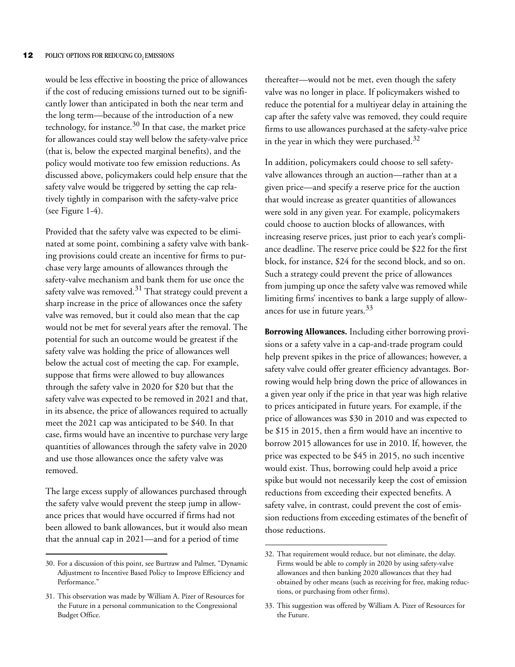would be less effective in boosting the price of allowances if the cost of reducing emissions turned out to be significantly lower than anticipated in both the near term and the long term—because of the introduction of a new technology, for instance.30 In that case, the market price for allowances could stay well below the safety-valve price (that is, below the expected marginal benefits), and the policy would motivate too few emission reductions. As discussed above, policymakers could help ensure that the safety valve would be triggered by setting the cap relatively tightly in comparison with the safety-valve price (see [Figure 1-4\)](#page-24-0).

Provided that the safety valve was expected to be eliminated at some point, combining a safety valve with banking provisions could create an incentive for firms to purchase very large amounts of allowances through the safety-valve mechanism and bank them for use once the safety valve was removed.<sup>31</sup> That strategy could prevent a sharp increase in the price of allowances once the safety valve was removed, but it could also mean that the cap would not be met for several years after the removal. The potential for such an outcome would be greatest if the safety valve was holding the price of allowances well below the actual cost of meeting the cap. For example, suppose that firms were allowed to buy allowances through the safety valve in 2020 for \$20 but that the safety valve was expected to be removed in 2021 and that, in its absence, the price of allowances required to actually meet the 2021 cap was anticipated to be \$40. In that case, firms would have an incentive to purchase very large quantities of allowances through the safety valve in 2020 and use those allowances once the safety valve was removed.

The large excess supply of allowances purchased through the safety valve would prevent the steep jump in allowance prices that would have occurred if firms had not been allowed to bank allowances, but it would also mean that the annual cap in 2021—and for a period of time

thereafter—would not be met, even though the safety valve was no longer in place. If policymakers wished to reduce the potential for a multiyear delay in attaining the cap after the safety valve was removed, they could require firms to use allowances purchased at the safety-valve price in the year in which they were purchased. $32$ 

In addition, policymakers could choose to sell safetyvalve allowances through an auction—rather than at a given price—and specify a reserve price for the auction that would increase as greater quantities of allowances were sold in any given year. For example, policymakers could choose to auction blocks of allowances, with increasing reserve prices, just prior to each year's compliance deadline. The reserve price could be \$22 for the first block, for instance, \$24 for the second block, and so on. Such a strategy could prevent the price of allowances from jumping up once the safety valve was removed while limiting firms' incentives to bank a large supply of allowances for use in future years.<sup>33</sup>

**Borrowing Allowances.** Including either borrowing provisions or a safety valve in a cap-and-trade program could help prevent spikes in the price of allowances; however, a safety valve could offer greater efficiency advantages. Borrowing would help bring down the price of allowances in a given year only if the price in that year was high relative to prices anticipated in future years. For example, if the price of allowances was \$30 in 2010 and was expected to be \$15 in 2015, then a firm would have an incentive to borrow 2015 allowances for use in 2010. If, however, the price was expected to be \$45 in 2015, no such incentive would exist. Thus, borrowing could help avoid a price spike but would not necessarily keep the cost of emission reductions from exceeding their expected benefits. A safety valve, in contrast, could prevent the cost of emission reductions from exceeding estimates of the benefit of those reductions.

<sup>30.</sup> For a discussion of this point, see Burtraw and Palmer, "Dynamic Adjustment to Incentive Based Policy to Improve Efficiency and Performance."

<sup>31.</sup> This observation was made by William A. Pizer of Resources for the Future in a personal communication to the Congressional Budget Office.

<sup>32.</sup> That requirement would reduce, but not eliminate, the delay. Firms would be able to comply in 2020 by using safety-valve allowances and then banking 2020 allowances that they had obtained by other means (such as receiving for free, making reductions, or purchasing from other firms).

<sup>33.</sup> This suggestion was offered by William A. Pizer of Resources for the Future.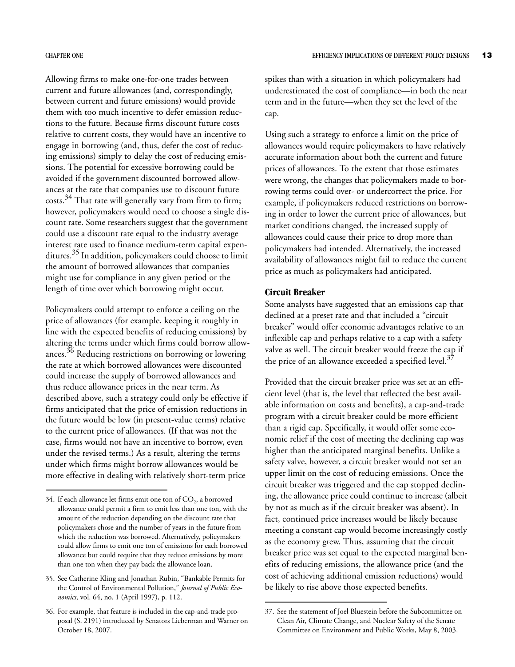Allowing firms to make one-for-one trades between current and future allowances (and, correspondingly, between current and future emissions) would provide them with too much incentive to defer emission reductions to the future. Because firms discount future costs relative to current costs, they would have an incentive to engage in borrowing (and, thus, defer the cost of reducing emissions) simply to delay the cost of reducing emissions. The potential for excessive borrowing could be avoided if the government discounted borrowed allowances at the rate that companies use to discount future costs.<sup>34</sup> That rate will generally vary from firm to firm; however, policymakers would need to choose a single discount rate. Some researchers suggest that the government could use a discount rate equal to the industry average interest rate used to finance medium-term capital expenditures.35 In addition, policymakers could choose to limit the amount of borrowed allowances that companies might use for compliance in any given period or the length of time over which borrowing might occur.

Policymakers could attempt to enforce a ceiling on the price of allowances (for example, keeping it roughly in line with the expected benefits of reducing emissions) by altering the terms under which firms could borrow allowances.<sup>36</sup> Reducing restrictions on borrowing or lowering the rate at which borrowed allowances were discounted could increase the supply of borrowed allowances and thus reduce allowance prices in the near term. As described above, such a strategy could only be effective if firms anticipated that the price of emission reductions in the future would be low (in present-value terms) relative to the current price of allowances. (If that was not the case, firms would not have an incentive to borrow, even under the revised terms.) As a result, altering the terms under which firms might borrow allowances would be more effective in dealing with relatively short-term price

spikes than with a situation in which policymakers had underestimated the cost of compliance—in both the near term and in the future—when they set the level of the cap.

Using such a strategy to enforce a limit on the price of allowances would require policymakers to have relatively accurate information about both the current and future prices of allowances. To the extent that those estimates were wrong, the changes that policymakers made to borrowing terms could over- or undercorrect the price. For example, if policymakers reduced restrictions on borrowing in order to lower the current price of allowances, but market conditions changed, the increased supply of allowances could cause their price to drop more than policymakers had intended. Alternatively, the increased availability of allowances might fail to reduce the current price as much as policymakers had anticipated.

#### **Circuit Breaker**

Some analysts have suggested that an emissions cap that declined at a preset rate and that included a "circuit breaker" would offer economic advantages relative to an inflexible cap and perhaps relative to a cap with a safety valve as well. The circuit breaker would freeze the cap if the price of an allowance exceeded a specified level. $3<sup>7</sup>$ 

Provided that the circuit breaker price was set at an efficient level (that is, the level that reflected the best available information on costs and benefits), a cap-and-trade program with a circuit breaker could be more efficient than a rigid cap. Specifically, it would offer some economic relief if the cost of meeting the declining cap was higher than the anticipated marginal benefits. Unlike a safety valve, however, a circuit breaker would not set an upper limit on the cost of reducing emissions. Once the circuit breaker was triggered and the cap stopped declining, the allowance price could continue to increase (albeit by not as much as if the circuit breaker was absent). In fact, continued price increases would be likely because meeting a constant cap would become increasingly costly as the economy grew. Thus, assuming that the circuit breaker price was set equal to the expected marginal benefits of reducing emissions, the allowance price (and the cost of achieving additional emission reductions) would be likely to rise above those expected benefits.

<sup>34.</sup> If each allowance let firms emit one ton of  $CO<sub>2</sub>$ , a borrowed allowance could permit a firm to emit less than one ton, with the amount of the reduction depending on the discount rate that policymakers chose and the number of years in the future from which the reduction was borrowed. Alternatively, policymakers could allow firms to emit one ton of emissions for each borrowed allowance but could require that they reduce emissions by more than one ton when they pay back the allowance loan.

<sup>35.</sup> See Catherine Kling and Jonathan Rubin, "Bankable Permits for the Control of Environmental Pollution," *Journal of Public Economics,* vol. 64, no. 1 (April 1997), p. 112.

<sup>36.</sup> For example, that feature is included in the cap-and-trade proposal (S. 2191) introduced by Senators Lieberman and Warner on October 18, 2007.

<sup>37.</sup> See the statement of Joel Bluestein before the Subcommittee on Clean Air, Climate Change, and Nuclear Safety of the Senate Committee on Environment and Public Works, May 8, 2003.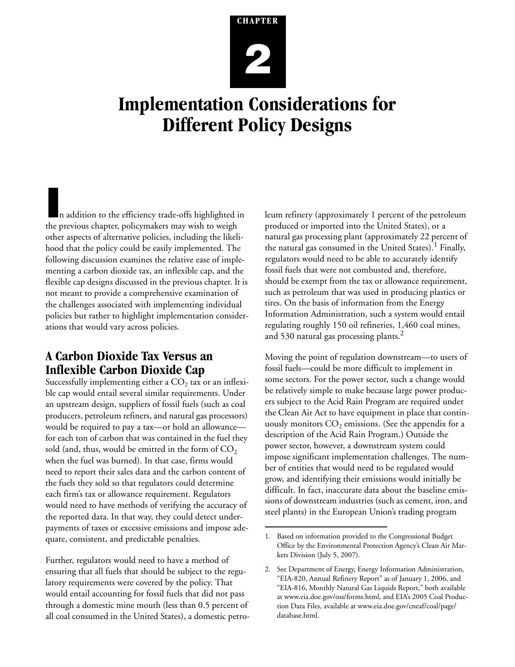# <span id="page-30-3"></span>**CHAPTER 2**

## <span id="page-30-1"></span><span id="page-30-0"></span>**Implementation Considerations for Different Policy Designs**

**I**n addition to the efficiency trade-offs highlighted in the previous chapter, policymakers may wish to weigh other aspects of alternative policies, including the likelihood that the policy could be easily implemented. The following discussion examines the relative ease of implementing a carbon dioxide tax, an inflexible cap, and the flexible cap designs discussed in the previous chapter. It is not meant to provide a comprehensive examination of the challenges associated with implementing individual policies but rather to highlight implementation considerations that would vary across policies.

#### <span id="page-30-2"></span>**A Carbon Dioxide Tax Versus an Inflexible Carbon Dioxide Cap**

Successfully implementing either a  $CO<sub>2</sub>$  tax or an inflexible cap would entail several similar requirements. Under an upstream design, suppliers of fossil fuels (such as coal producers, petroleum refiners, and natural gas processors) would be required to pay a tax—or hold an allowance for each ton of carbon that was contained in the fuel they sold (and, thus, would be emitted in the form of  $CO<sub>2</sub>$ when the fuel was burned). In that case, firms would need to report their sales data and the carbon content of the fuels they sold so that regulators could determine each firm's tax or allowance requirement. Regulators would need to have methods of verifying the accuracy of the reported data. In that way, they could detect underpayments of taxes or excessive emissions and impose adequate, consistent, and predictable penalties.

Further, regulators would need to have a method of ensuring that all fuels that should be subject to the regulatory requirements were covered by the policy. That would entail accounting for fossil fuels that did not pass through a domestic mine mouth (less than 0.5 percent of all coal consumed in the United States), a domestic petroleum refinery (approximately 1 percent of the petroleum produced or imported into the United States), or a natural gas processing plant (approximately 22 percent of the natural gas consumed in the United States).<sup>1</sup> Finally, regulators would need to be able to accurately identify fossil fuels that were not combusted and, therefore, should be exempt from the tax or allowance requirement, such as petroleum that was used in producing plastics or tires. On the basis of information from the Energy Information Administration, such a system would entail regulating roughly 150 oil refineries, 1,460 coal mines, and 530 natural gas processing plants.<sup>2</sup>

Moving the point of regulation downstream—to users of fossil fuels—could be more difficult to implement in some sectors. For the power sector, such a change would be relatively simple to make because large power producers subject to the Acid Rain Program are required under the Clean Air Act to have equipment in place that continuously monitors  $CO<sub>2</sub>$  emissions. (See the appendix for a description of the Acid Rain Program.) Outside the power sector, however, a downstream system could impose significant implementation challenges. The number of entities that would need to be regulated would grow, and identifying their emissions would initially be difficult. In fact, inaccurate data about the baseline emissions of downstream industries (such as cement, iron, and steel plants) in the European Union's trading program

<sup>1.</sup> Based on information provided to the Congressional Budget Office by the Environmental Protection Agency's Clean Air Markets Division (July 5, 2007).

<sup>2.</sup> See Department of Energy, Energy Information Administration, "EIA-820, Annual Refinery Report" as of January 1, 2006, and "EIA-816, Monthly Natural Gas Liquids Report," both available at www.eia.doe.gov/oss/forms.html, and EIA's 2005 Coal Production Data Files, available at www.eia.doe.gov/cneaf/coal/page/ database.html.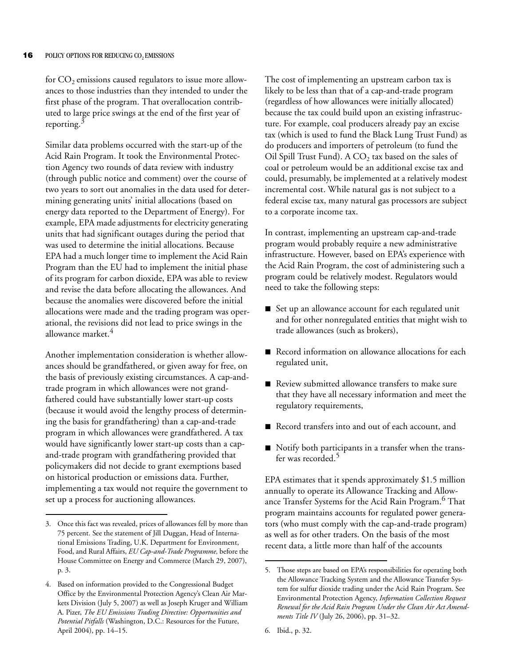for  $CO<sub>2</sub>$  emissions caused regulators to issue more allowances to those industries than they intended to under the first phase of the program. That overallocation contributed to large price swings at the end of the first year of reporting.<sup>3</sup>

Similar data problems occurred with the start-up of the Acid Rain Program. It took the Environmental Protection Agency two rounds of data review with industry (through public notice and comment) over the course of two years to sort out anomalies in the data used for determining generating units' initial allocations (based on energy data reported to the Department of Energy). For example, EPA made adjustments for electricity generating units that had significant outages during the period that was used to determine the initial allocations. Because EPA had a much longer time to implement the Acid Rain Program than the EU had to implement the initial phase of its program for carbon dioxide, EPA was able to review and revise the data before allocating the allowances. And because the anomalies were discovered before the initial allocations were made and the trading program was operational, the revisions did not lead to price swings in the allowance market.<sup>4</sup>

Another implementation consideration is whether allowances should be grandfathered, or given away for free, on the basis of previously existing circumstances. A cap-andtrade program in which allowances were not grandfathered could have substantially lower start-up costs (because it would avoid the lengthy process of determining the basis for grandfathering) than a cap-and-trade program in which allowances were grandfathered. A tax would have significantly lower start-up costs than a capand-trade program with grandfathering provided that policymakers did not decide to grant exemptions based on historical production or emissions data. Further, implementing a tax would not require the government to set up a process for auctioning allowances.

The cost of implementing an upstream carbon tax is likely to be less than that of a cap-and-trade program (regardless of how allowances were initially allocated) because the tax could build upon an existing infrastructure. For example, coal producers already pay an excise tax (which is used to fund the Black Lung Trust Fund) as do producers and importers of petroleum (to fund the Oil Spill Trust Fund). A  $CO<sub>2</sub>$  tax based on the sales of coal or petroleum would be an additional excise tax and could, presumably, be implemented at a relatively modest incremental cost. While natural gas is not subject to a federal excise tax, many natural gas processors are subject to a corporate income tax.

In contrast, implementing an upstream cap-and-trade program would probably require a new administrative infrastructure. However, based on EPA's experience with the Acid Rain Program, the cost of administering such a program could be relatively modest. Regulators would need to take the following steps:

- $\blacksquare$  Set up an allowance account for each regulated unit and for other nonregulated entities that might wish to trade allowances (such as brokers),
- Record information on allowance allocations for each regulated unit,
- Review submitted allowance transfers to make sure that they have all necessary information and meet the regulatory requirements,
- Record transfers into and out of each account, and
- B Notify both participants in a transfer when the transfer was recorded.<sup>5</sup>

EPA estimates that it spends approximately \$1.5 million annually to operate its Allowance Tracking and Allowance Transfer Systems for the Acid Rain Program.<sup>6</sup> That program maintains accounts for regulated power generators (who must comply with the cap-and-trade program) as well as for other traders. On the basis of the most recent data, a little more than half of the accounts

<sup>3.</sup> Once this fact was revealed, prices of allowances fell by more than 75 percent. See the statement of Jill Duggan, Head of International Emissions Trading, U.K. Department for Environment, Food, and Rural Affairs, *EU Cap-and-Trade Programme,* before the House Committee on Energy and Commerce (March 29, 2007), p. 3.

<sup>4.</sup> Based on information provided to the Congressional Budget Office by the Environmental Protection Agency's Clean Air Markets Division (July 5, 2007) as well as Joseph Kruger and William A. Pizer, *The EU Emissions Trading Directive: Opportunities and Potential Pitfalls* (Washington, D.C.: Resources for the Future, April 2004), pp. 14–15.

<sup>5.</sup> Those steps are based on EPA's responsibilities for operating both the Allowance Tracking System and the Allowance Transfer System for sulfur dioxide trading under the Acid Rain Program. See Environmental Protection Agency, *Information Collection Request Renewal for the Acid Rain Program Under the Clean Air Act Amendments Title IV* (July 26, 2006), pp. 31–32.

<sup>6.</sup> Ibid., p. 32.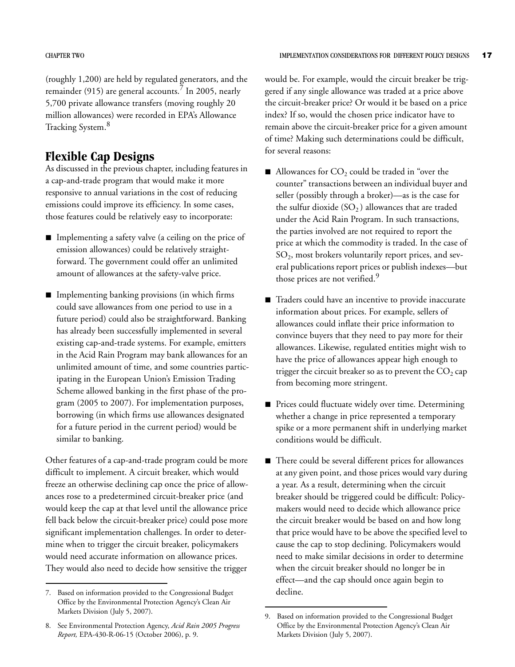(roughly 1,200) are held by regulated generators, and the remainder (915) are general accounts.<sup> $\prime$ </sup> In 2005, nearly 5,700 private allowance transfers (moving roughly 20 million allowances) were recorded in EPA's Allowance Tracking System.<sup>8</sup>

#### <span id="page-32-0"></span>**Flexible Cap Designs**

As discussed in the previous chapter, including features in a cap-and-trade program that would make it more responsive to annual variations in the cost of reducing emissions could improve its efficiency. In some cases, those features could be relatively easy to incorporate:

- $\blacksquare$  Implementing a safety valve (a ceiling on the price of emission allowances) could be relatively straightforward. The government could offer an unlimited amount of allowances at the safety-valve price.
- $\blacksquare$  Implementing banking provisions (in which firms could save allowances from one period to use in a future period) could also be straightforward. Banking has already been successfully implemented in several existing cap-and-trade systems. For example, emitters in the Acid Rain Program may bank allowances for an unlimited amount of time, and some countries participating in the European Union's Emission Trading Scheme allowed banking in the first phase of the program (2005 to 2007). For implementation purposes, borrowing (in which firms use allowances designated for a future period in the current period) would be similar to banking.

Other features of a cap-and-trade program could be more difficult to implement. A circuit breaker, which would freeze an otherwise declining cap once the price of allowances rose to a predetermined circuit-breaker price (and would keep the cap at that level until the allowance price fell back below the circuit-breaker price) could pose more significant implementation challenges. In order to determine when to trigger the circuit breaker, policymakers would need accurate information on allowance prices. They would also need to decide how sensitive the trigger

would be. For example, would the circuit breaker be triggered if any single allowance was traded at a price above the circuit-breaker price? Or would it be based on a price index? If so, would the chosen price indicator have to remain above the circuit-breaker price for a given amount of time? Making such determinations could be difficult, for several reasons:

- Allowances for  $CO<sub>2</sub>$  could be traded in "over the counter" transactions between an individual buyer and seller (possibly through a broker)—as is the case for the sulfur dioxide  $(SO<sub>2</sub>)$  allowances that are traded under the Acid Rain Program. In such transactions, the parties involved are not required to report the price at which the commodity is traded. In the case of  $SO<sub>2</sub>$ , most brokers voluntarily report prices, and several publications report prices or publish indexes—but those prices are not verified.<sup>9</sup>
- Traders could have an incentive to provide inaccurate information about prices. For example, sellers of allowances could inflate their price information to convince buyers that they need to pay more for their allowances. Likewise, regulated entities might wish to have the price of allowances appear high enough to trigger the circuit breaker so as to prevent the  $CO<sub>2</sub>$  cap from becoming more stringent.
- $\blacksquare$  Prices could fluctuate widely over time. Determining whether a change in price represented a temporary spike or a more permanent shift in underlying market conditions would be difficult.
- $\blacksquare$  There could be several different prices for allowances at any given point, and those prices would vary during a year. As a result, determining when the circuit breaker should be triggered could be difficult: Policymakers would need to decide which allowance price the circuit breaker would be based on and how long that price would have to be above the specified level to cause the cap to stop declining. Policymakers would need to make similar decisions in order to determine when the circuit breaker should no longer be in effect—and the cap should once again begin to

<sup>7.</sup> Based on information provided to the Congressional Budget decline. Office by the Environmental Protection Agency's Clean Air Markets Division (July 5, 2007).

<sup>8.</sup> See Environmental Protection Agency, *Acid Rain 2005 Progress Report,* EPA-430-R-06-15 (October 2006), p. 9.

<sup>9.</sup> Based on information provided to the Congressional Budget Office by the Environmental Protection Agency's Clean Air Markets Division (July 5, 2007).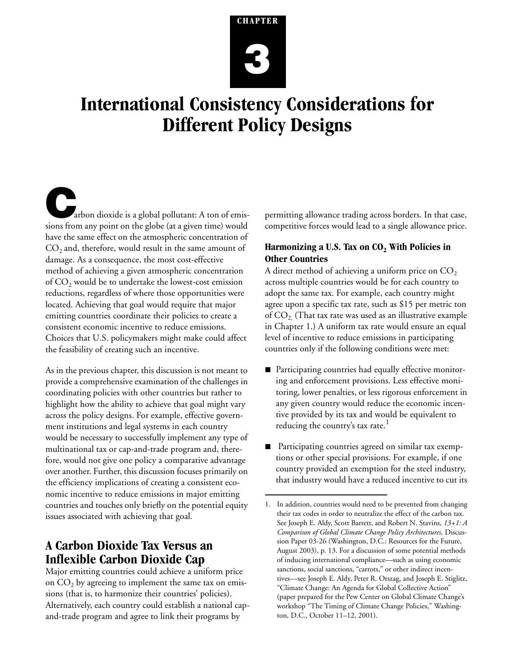# <span id="page-34-3"></span>**CHAPTER 3**

# <span id="page-34-1"></span><span id="page-34-0"></span>**International Consistency Considerations for Different Policy Designs**

**C**arbon dioxide is a global pollutant: A ton of emissions from any point on the globe (at a given time) would have the same effect on the atmospheric concentration of  $CO<sub>2</sub>$  and, therefore, would result in the same amount of damage. As a consequence, the most cost-effective method of achieving a given atmospheric concentration of  $CO<sub>2</sub>$  would be to undertake the lowest-cost emission reductions, regardless of where those opportunities were located. Achieving that goal would require that major emitting countries coordinate their policies to create a consistent economic incentive to reduce emissions. Choices that U.S. policymakers might make could affect the feasibility of creating such an incentive.

As in the previous chapter, this discussion is not meant to provide a comprehensive examination of the challenges in coordinating policies with other countries but rather to highlight how the ability to achieve that goal might vary across the policy designs. For example, effective government institutions and legal systems in each country would be necessary to successfully implement any type of multinational tax or cap-and-trade program and, therefore, would not give one policy a comparative advantage over another. Further, this discussion focuses primarily on the efficiency implications of creating a consistent economic incentive to reduce emissions in major emitting countries and touches only briefly on the potential equity issues associated with achieving that goal.

## <span id="page-34-2"></span>**A Carbon Dioxide Tax Versus an Inflexible Carbon Dioxide Cap**

Major emitting countries could achieve a uniform price on  $CO<sub>2</sub>$  by agreeing to implement the same tax on emissions (that is, to harmonize their countries' policies). Alternatively, each country could establish a national capand-trade program and agree to link their programs by

permitting allowance trading across borders. In that case, competitive forces would lead to a single allowance price.

#### Harmonizing a U.S. Tax on CO<sub>2</sub> With Policies in **Other Countries**

A direct method of achieving a uniform price on  $CO<sub>2</sub>$ across multiple countries would be for each country to adopt the same tax. For example, each country might agree upon a specific tax rate, such as \$15 per metric ton of  $CO<sub>2</sub>$  (That tax rate was used as an illustrative example in Chapter 1.) A uniform tax rate would ensure an equal level of incentive to reduce emissions in participating countries only if the following conditions were met:

- Participating countries had equally effective monitoring and enforcement provisions. Less effective monitoring, lower penalties, or less rigorous enforcement in any given country would reduce the economic incentive provided by its tax and would be equivalent to reducing the country's tax rate.<sup>1</sup>
- Participating countries agreed on similar tax exemptions or other special provisions. For example, if one country provided an exemption for the steel industry, that industry would have a reduced incentive to cut its

<sup>1.</sup> In addition, countries would need to be prevented from changing their tax codes in order to neutralize the effect of the carbon tax. See Joseph E. Aldy, Scott Barrett, and Robert N. Stavins, *13+1: A Comparison of Global Climate Change Policy Architectures,* Discussion Paper 03-26 (Washington, D.C.: Resources for the Future, August 2003), p. 13. For a discussion of some potential methods of inducing international compliance—such as using economic sanctions, social sanctions, "carrots," or other indirect incentives—see Joseph E. Aldy, Peter R. Orszag, and Joseph E. Stiglitz, "Climate Change: An Agenda for Global Collective Action" (paper prepared for the Pew Center on Global Climate Change's workshop "The Timing of Climate Change Policies," Washington, D.C., October 11–12, 2001).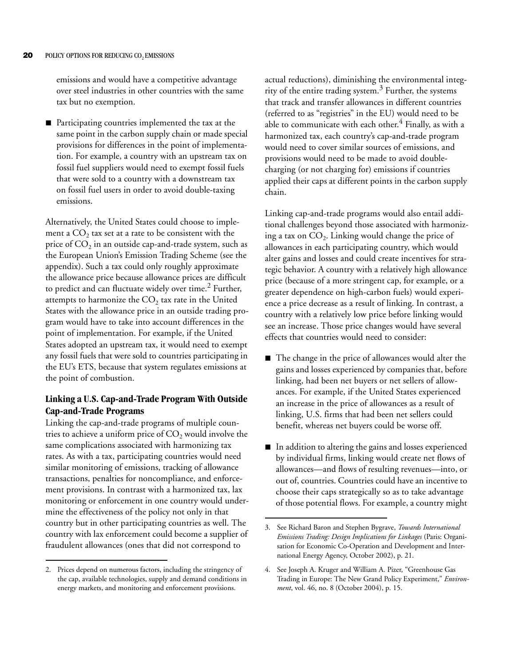emissions and would have a competitive advantage over steel industries in other countries with the same tax but no exemption.

■ Participating countries implemented the tax at the same point in the carbon supply chain or made special provisions for differences in the point of implementation. For example, a country with an upstream tax on fossil fuel suppliers would need to exempt fossil fuels that were sold to a country with a downstream tax on fossil fuel users in order to avoid double-taxing emissions.

Alternatively, the United States could choose to implement a  $CO<sub>2</sub>$  tax set at a rate to be consistent with the price of  $CO<sub>2</sub>$  in an outside cap-and-trade system, such as the European Union's Emission Trading Scheme (see the appendix). Such a tax could only roughly approximate the allowance price because allowance prices are difficult to predict and can fluctuate widely over time. $2$  Further, attempts to harmonize the  $CO<sub>2</sub>$  tax rate in the United States with the allowance price in an outside trading program would have to take into account differences in the point of implementation. For example, if the United States adopted an upstream tax, it would need to exempt any fossil fuels that were sold to countries participating in the EU's ETS, because that system regulates emissions at the point of combustion.

#### **Linking a U.S. Cap-and-Trade Program With Outside Cap-and-Trade Programs**

Linking the cap-and-trade programs of multiple countries to achieve a uniform price of  $CO<sub>2</sub>$  would involve the same complications associated with harmonizing tax rates. As with a tax, participating countries would need similar monitoring of emissions, tracking of allowance transactions, penalties for noncompliance, and enforcement provisions. In contrast with a harmonized tax, lax monitoring or enforcement in one country would undermine the effectiveness of the policy not only in that country but in other participating countries as well. The country with lax enforcement could become a supplier of fraudulent allowances (ones that did not correspond to

actual reductions), diminishing the environmental integrity of the entire trading system.<sup>3</sup> Further, the systems that track and transfer allowances in different countries (referred to as "registries" in the EU) would need to be able to communicate with each other. $4$  Finally, as with a harmonized tax, each country's cap-and-trade program would need to cover similar sources of emissions, and provisions would need to be made to avoid doublecharging (or not charging for) emissions if countries applied their caps at different points in the carbon supply chain.

Linking cap-and-trade programs would also entail additional challenges beyond those associated with harmonizing a tax on  $CO<sub>2</sub>$ . Linking would change the price of allowances in each participating country, which would alter gains and losses and could create incentives for strategic behavior. A country with a relatively high allowance price (because of a more stringent cap, for example, or a greater dependence on high-carbon fuels) would experience a price decrease as a result of linking. In contrast, a country with a relatively low price before linking would see an increase. Those price changes would have several effects that countries would need to consider:

- $\blacksquare$  The change in the price of allowances would alter the gains and losses experienced by companies that, before linking, had been net buyers or net sellers of allowances. For example, if the United States experienced an increase in the price of allowances as a result of linking, U.S. firms that had been net sellers could benefit, whereas net buyers could be worse off.
- In addition to altering the gains and losses experienced by individual firms, linking would create net flows of allowances—and flows of resulting revenues—into, or out of, countries. Countries could have an incentive to choose their caps strategically so as to take advantage of those potential flows. For example, a country might

<sup>2.</sup> Prices depend on numerous factors, including the stringency of the cap, available technologies, supply and demand conditions in energy markets, and monitoring and enforcement provisions.

<sup>3.</sup> See Richard Baron and Stephen Bygrave, *Towards International Emissions Trading: Design Implications for Linkages* (Paris: Organisation for Economic Co-Operation and Development and International Energy Agency, October 2002), p. 21.

<sup>4.</sup> See Joseph A. Kruger and William A. Pizer, "Greenhouse Gas Trading in Europe: The New Grand Policy Experiment," *Environment*, vol. 46, no. 8 (October 2004), p. 15.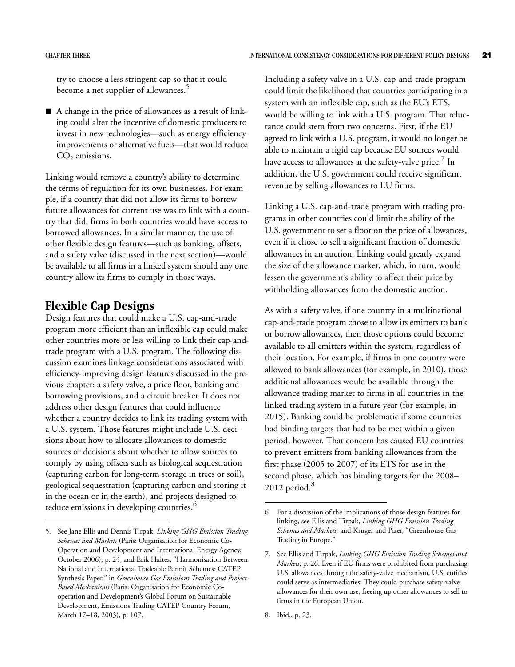try to choose a less stringent cap so that it could become a net supplier of allowances.<sup>5</sup>

 $\blacksquare$  A change in the price of allowances as a result of linking could alter the incentive of domestic producers to invest in new technologies—such as energy efficiency improvements or alternative fuels—that would reduce  $CO<sub>2</sub>$  emissions.

Linking would remove a country's ability to determine the terms of regulation for its own businesses. For example, if a country that did not allow its firms to borrow future allowances for current use was to link with a country that did, firms in both countries would have access to borrowed allowances. In a similar manner, the use of other flexible design features—such as banking, offsets, and a safety valve (discussed in the next section)—would be available to all firms in a linked system should any one country allow its firms to comply in those ways.

#### <span id="page-36-0"></span>**Flexible Cap Designs**

Design features that could make a U.S. cap-and-trade program more efficient than an inflexible cap could make other countries more or less willing to link their cap-andtrade program with a U.S. program. The following discussion examines linkage considerations associated with efficiency-improving design features discussed in the previous chapter: a safety valve, a price floor, banking and borrowing provisions, and a circuit breaker. It does not address other design features that could influence whether a country decides to link its trading system with a U.S. system. Those features might include U.S. decisions about how to allocate allowances to domestic sources or decisions about whether to allow sources to comply by using offsets such as biological sequestration (capturing carbon for long-term storage in trees or soil), geological sequestration (capturing carbon and storing it in the ocean or in the earth), and projects designed to reduce emissions in developing countries.<sup>6</sup>

Including a safety valve in a U.S. cap-and-trade program could limit the likelihood that countries participating in a system with an inflexible cap, such as the EU's ETS, would be willing to link with a U.S. program. That reluctance could stem from two concerns. First, if the EU agreed to link with a U.S. program, it would no longer be able to maintain a rigid cap because EU sources would have access to allowances at the safety-valve price. $^7$  In addition, the U.S. government could receive significant revenue by selling allowances to EU firms.

Linking a U.S. cap-and-trade program with trading programs in other countries could limit the ability of the U.S. government to set a floor on the price of allowances, even if it chose to sell a significant fraction of domestic allowances in an auction. Linking could greatly expand the size of the allowance market, which, in turn, would lessen the government's ability to affect their price by withholding allowances from the domestic auction.

As with a safety valve, if one country in a multinational cap-and-trade program chose to allow its emitters to bank or borrow allowances, then those options could become available to all emitters within the system, regardless of their location. For example, if firms in one country were allowed to bank allowances (for example, in 2010), those additional allowances would be available through the allowance trading market to firms in all countries in the linked trading system in a future year (for example, in 2015). Banking could be problematic if some countries had binding targets that had to be met within a given period, however. That concern has caused EU countries to prevent emitters from banking allowances from the first phase (2005 to 2007) of its ETS for use in the second phase, which has binding targets for the 2008– 2012 period. $8$ 

8. Ibid., p. 23.

<sup>5.</sup> See Jane Ellis and Dennis Tirpak, *Linking GHG Emission Trading Schemes and Markets* (Paris: Organisation for Economic Co-Operation and Development and International Energy Agency, October 2006), p. 24; and Erik Haites, "Harmonisation Between National and International Tradeable Permit Schemes: CATEP Synthesis Paper," in *Greenhouse Gas Emissions Trading and Project-Based Mechanisms* (Paris: Organisation for Economic Cooperation and Development's Global Forum on Sustainable Development, Emissions Trading CATEP Country Forum, March 17–18, 2003), p. 107.

<sup>6.</sup> For a discussion of the implications of those design features for linking, see Ellis and Tirpak, *Linking GHG Emission Trading Schemes and Markets;* and Kruger and Pizer, "Greenhouse Gas Trading in Europe."

<sup>7.</sup> See Ellis and Tirpak, *Linking GHG Emission Trading Schemes and Markets,* p. 26. Even if EU firms were prohibited from purchasing U.S. allowances through the safety-valve mechanism, U.S. entities could serve as intermediaries: They could purchase safety-valve allowances for their own use, freeing up other allowances to sell to firms in the European Union.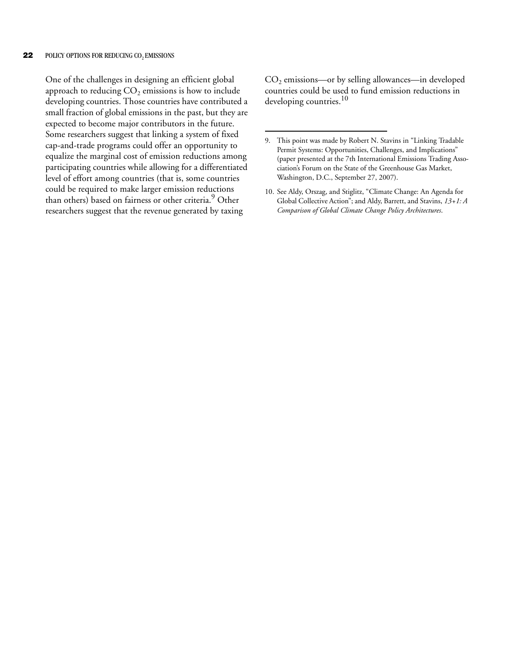One of the challenges in designing an efficient global approach to reducing  $CO<sub>2</sub>$  emissions is how to include developing countries. Those countries have contributed a small fraction of global emissions in the past, but they are expected to become major contributors in the future. Some researchers suggest that linking a system of fixed cap-and-trade programs could offer an opportunity to equalize the marginal cost of emission reductions among participating countries while allowing for a differentiated level of effort among countries (that is, some countries could be required to make larger emission reductions than others) based on fairness or other criteria.<sup>9</sup> Other researchers suggest that the revenue generated by taxing

 $CO<sub>2</sub>$  emissions—or by selling allowances—in developed countries could be used to fund emission reductions in developing countries.<sup>10</sup>

<sup>9.</sup> This point was made by Robert N. Stavins in "Linking Tradable Permit Systems: Opportunities, Challenges, and Implications" (paper presented at the 7th International Emissions Trading Association's Forum on the State of the Greenhouse Gas Market, Washington, D.C., September 27, 2007).

<sup>10.</sup> See Aldy, Orszag, and Stiglitz, "Climate Change: An Agenda for Global Collective Action"; and Aldy, Barrett, and Stavins, *13+1: A Comparison of Global Climate Change Policy Architectures*.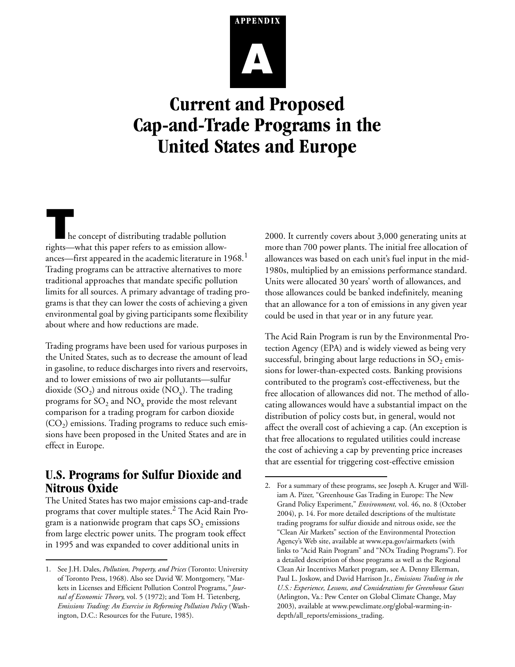# **APPENDIX A**

# <span id="page-38-1"></span><span id="page-38-0"></span>**Current and Proposed Cap-and-Trade Programs in the United States and Europe**

**T**he concept of distributing tradable pollution rights—what this paper refers to as emission allowances—first appeared in the academic literature in 1968.<sup>1</sup> Trading programs can be attractive alternatives to more traditional approaches that mandate specific pollution limits for all sources. A primary advantage of trading programs is that they can lower the costs of achieving a given environmental goal by giving participants some flexibility about where and how reductions are made.

Trading programs have been used for various purposes in the United States, such as to decrease the amount of lead in gasoline, to reduce discharges into rivers and reservoirs, and to lower emissions of two air pollutants—sulfur dioxide  $(SO<sub>2</sub>)$  and nitrous oxide  $(NO<sub>x</sub>)$ . The trading programs for  $SO_2$  and  $NO_x$  provide the most relevant comparison for a trading program for carbon dioxide  $(CO<sub>2</sub>)$  emissions. Trading programs to reduce such emissions have been proposed in the United States and are in effect in Europe.

#### **U.S. Programs for Sulfur Dioxide and Nitrous Oxide**

The United States has two major emissions cap-and-trade programs that cover multiple states. $^2$  The Acid Rain Program is a nationwide program that caps  $SO_2$  emissions from large electric power units. The program took effect in 1995 and was expanded to cover additional units in

2000. It currently covers about 3,000 generating units at more than 700 power plants. The initial free allocation of allowances was based on each unit's fuel input in the mid-1980s, multiplied by an emissions performance standard. Units were allocated 30 years' worth of allowances, and those allowances could be banked indefinitely, meaning that an allowance for a ton of emissions in any given year could be used in that year or in any future year.

The Acid Rain Program is run by the Environmental Protection Agency (EPA) and is widely viewed as being very successful, bringing about large reductions in  $SO<sub>2</sub>$  emissions for lower-than-expected costs. Banking provisions contributed to the program's cost-effectiveness, but the free allocation of allowances did not. The method of allocating allowances would have a substantial impact on the distribution of policy costs but, in general, would not affect the overall cost of achieving a cap. (An exception is that free allocations to regulated utilities could increase the cost of achieving a cap by preventing price increases that are essential for triggering cost-effective emission

<sup>1.</sup> See J.H. Dales, *Pollution, Property, and Prices* (Toronto: University of Toronto Press, 1968). Also see David W. Montgomery, "Markets in Licenses and Efficient Pollution Control Programs,*" Journal of Economic Theory*, vol. 5 (1972); and Tom H. Tietenberg, *Emissions Trading: An Exercise in Reforming Pollution Policy* (Washington, D.C.: Resources for the Future, 1985).

<sup>2.</sup> For a summary of these programs, see Joseph A. Kruger and William A. Pizer, "Greenhouse Gas Trading in Europe: The New Grand Policy Experiment," *Environment,* vol. 46, no. 8 (October 2004), p. 14. For more detailed descriptions of the multistate trading programs for sulfur dioxide and nitrous oxide, see the "Clean Air Markets" section of the Environmental Protection Agency's Web site, available at www.epa.gov/airmarkets (with links to "Acid Rain Program" and "NOx Trading Programs"). For a detailed description of those programs as well as the Regional Clean Air Incentives Market program, see A. Denny Ellerman, Paul L. Joskow, and David Harrison Jr., *Emissions Trading in the U.S.: Experience, Lessons, and Considerations for Greenhouse Gases* (Arlington, Va.: Pew Center on Global Climate Change, May 2003), available at www.pewclimate.org/global-warming-indepth/all\_reports/emissions\_trading.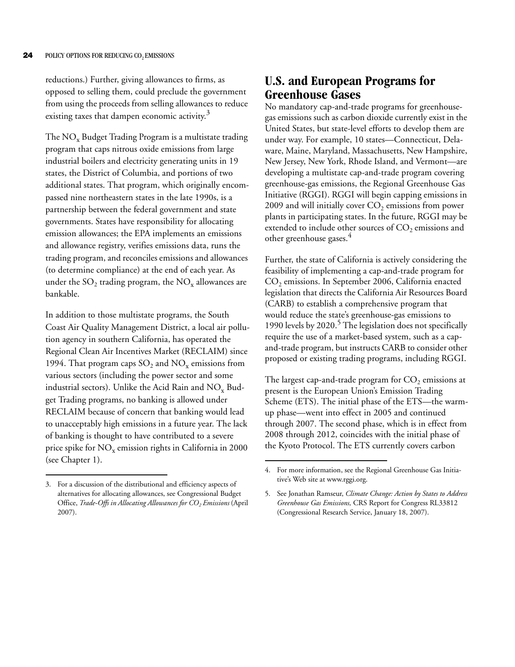reductions.) Further, giving allowances to firms, as opposed to selling them, could preclude the government from using the proceeds from selling allowances to reduce existing taxes that dampen economic activity.<sup>3</sup>

The NO<sub>x</sub> Budget Trading Program is a multistate trading program that caps nitrous oxide emissions from large industrial boilers and electricity generating units in 19 states, the District of Columbia, and portions of two additional states. That program, which originally encompassed nine northeastern states in the late 1990s, is a partnership between the federal government and state governments. States have responsibility for allocating emission allowances; the EPA implements an emissions and allowance registry, verifies emissions data, runs the trading program, and reconciles emissions and allowances (to determine compliance) at the end of each year. As under the  $SO_2$  trading program, the  $NO_x$  allowances are bankable.

In addition to those multistate programs, the South Coast Air Quality Management District, a local air pollution agency in southern California, has operated the Regional Clean Air Incentives Market (RECLAIM) since 1994. That program caps  $SO_2$  and  $NO_x$  emissions from various sectors (including the power sector and some industrial sectors). Unlike the Acid Rain and  $NO<sub>x</sub>$  Budget Trading programs, no banking is allowed under RECLAIM because of concern that banking would lead to unacceptably high emissions in a future year. The lack of banking is thought to have contributed to a severe price spike for  $NO_x$  emission rights in California in 2000 (see Chapter 1).

### **U.S. and European Programs for Greenhouse Gases**

No mandatory cap-and-trade programs for greenhousegas emissions such as carbon dioxide currently exist in the United States, but state-level efforts to develop them are under way. For example, 10 states—Connecticut, Delaware, Maine, Maryland, Massachusetts, New Hampshire, New Jersey, New York, Rhode Island, and Vermont—are developing a multistate cap-and-trade program covering greenhouse-gas emissions, the Regional Greenhouse Gas Initiative (RGGI). RGGI will begin capping emissions in 2009 and will initially cover  $CO<sub>2</sub>$  emissions from power plants in participating states. In the future, RGGI may be extended to include other sources of  $CO<sub>2</sub>$  emissions and other greenhouse gases.<sup>4</sup>

Further, the state of California is actively considering the feasibility of implementing a cap-and-trade program for  $CO<sub>2</sub>$  emissions. In September 2006, California enacted legislation that directs the California Air Resources Board (CARB) to establish a comprehensive program that would reduce the state's greenhouse-gas emissions to 1990 levels by  $2020$ .<sup>5</sup> The legislation does not specifically require the use of a market-based system, such as a capand-trade program, but instructs CARB to consider other proposed or existing trading programs, including RGGI.

The largest cap-and-trade program for  $CO<sub>2</sub>$  emissions at present is the European Union's Emission Trading Scheme (ETS). The initial phase of the ETS—the warmup phase—went into effect in 2005 and continued through 2007. The second phase, which is in effect from 2008 through 2012, coincides with the initial phase of the Kyoto Protocol. The ETS currently covers carbon

<sup>3.</sup> For a discussion of the distributional and efficiency aspects of alternatives for allocating allowances, see Congressional Budget Office, *Trade-Offs in Allocating Allowances for CO<sub>2</sub> Emissions* (April 2007).

<sup>4.</sup> For more information, see the Regional Greenhouse Gas Initiative's Web site at www.rggi.org.

<sup>5.</sup> See Jonathan Ramseur, *Climate Change: Action by States to Address Greenhouse Gas Emissions,* CRS Report for Congress RL33812 (Congressional Research Service, January 18, 2007).